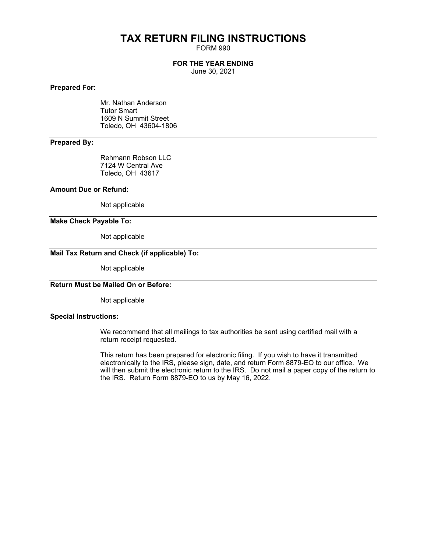# **TAX RETURN FILING INSTRUCTIONS**

FORM 990

# **FOR THE YEAR ENDING**

June 30, 2021

### **Prepared For:**

Mr. Nathan Anderson Tutor Smart 1609 N Summit Street Toledo, OH 43604-1806

# **Prepared By:**

Rehmann Robson LLC 7124 W Central Ave Toledo, OH 43617

#### **Amount Due or Refund:**

Not applicable

#### **Make Check Payable To:**

Not applicable

# **Mail Tax Return and Check (if applicable) To:**

Not applicable

### **Return Must be Mailed On or Before:**

Not applicable

### **Special Instructions:**

We recommend that all mailings to tax authorities be sent using certified mail with a return receipt requested.

This return has been prepared for electronic filing. If you wish to have it transmitted electronically to the IRS, please sign, date, and return Form 8879-EO to our office. We will then submit the electronic return to the IRS. Do not mail a paper copy of the return to the IRS. Return Form 8879-EO to us by May 16, 2022.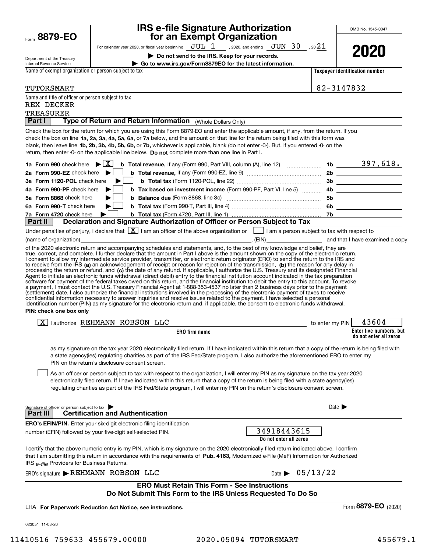| Form 8879-EO                                                                     |                                                                                                                                              | for an Exempt Organization                                                                                                                                                                                                                                                                                                                                                                                                                                                                                                                                                                                                                                                                              |                                                     |                            |                                |
|----------------------------------------------------------------------------------|----------------------------------------------------------------------------------------------------------------------------------------------|---------------------------------------------------------------------------------------------------------------------------------------------------------------------------------------------------------------------------------------------------------------------------------------------------------------------------------------------------------------------------------------------------------------------------------------------------------------------------------------------------------------------------------------------------------------------------------------------------------------------------------------------------------------------------------------------------------|-----------------------------------------------------|----------------------------|--------------------------------|
|                                                                                  |                                                                                                                                              | For calendar year 2020, or fiscal year beginning $JUL$ $1$ , 2020, and ending $JUN$ $30$ , 20 $21$                                                                                                                                                                                                                                                                                                                                                                                                                                                                                                                                                                                                      |                                                     |                            | 2020                           |
| Department of the Treasury                                                       |                                                                                                                                              | Do not send to the IRS. Keep for your records.                                                                                                                                                                                                                                                                                                                                                                                                                                                                                                                                                                                                                                                          |                                                     |                            |                                |
| Internal Revenue Service<br>Name of exempt organization or person subject to tax |                                                                                                                                              | Go to www.irs.gov/Form8879EO for the latest information.                                                                                                                                                                                                                                                                                                                                                                                                                                                                                                                                                                                                                                                |                                                     |                            |                                |
|                                                                                  |                                                                                                                                              |                                                                                                                                                                                                                                                                                                                                                                                                                                                                                                                                                                                                                                                                                                         |                                                     |                            | Taxpayer identification number |
| TUTORSMART                                                                       |                                                                                                                                              |                                                                                                                                                                                                                                                                                                                                                                                                                                                                                                                                                                                                                                                                                                         |                                                     | 82-3147832                 |                                |
| Name and title of officer or person subject to tax                               |                                                                                                                                              |                                                                                                                                                                                                                                                                                                                                                                                                                                                                                                                                                                                                                                                                                                         |                                                     |                            |                                |
| REX DECKER                                                                       |                                                                                                                                              |                                                                                                                                                                                                                                                                                                                                                                                                                                                                                                                                                                                                                                                                                                         |                                                     |                            |                                |
| TREASURER                                                                        |                                                                                                                                              |                                                                                                                                                                                                                                                                                                                                                                                                                                                                                                                                                                                                                                                                                                         |                                                     |                            |                                |
| Part I                                                                           |                                                                                                                                              | Type of Return and Return Information (Whole Dollars Only)                                                                                                                                                                                                                                                                                                                                                                                                                                                                                                                                                                                                                                              |                                                     |                            |                                |
|                                                                                  |                                                                                                                                              | Check the box for the return for which you are using this Form 8879-EO and enter the applicable amount, if any, from the return. If you<br>check the box on line 1a, 2a, 3a, 4a, 5a, 6a, or 7a below, and the amount on that line for the return being filed with this form was<br>blank, then leave line 1b, 2b, 3b, 4b, 5b, 6b, or 7b, whichever is applicable, blank (do not enter -0-). But, if you entered -0- on the<br>return, then enter -0- on the applicable line below. Do not complete more than one line in Part I.                                                                                                                                                                        |                                                     |                            |                                |
| 1a Form 990 check here $\blacktriangleright \lceil \overline{X} \rceil$          |                                                                                                                                              | <b>b</b> Total revenue, if any (Form 990, Part VIII, column (A), line 12) $\ldots$ 10 $\ldots$ 1b $\ldots$ 397, 618.                                                                                                                                                                                                                                                                                                                                                                                                                                                                                                                                                                                    |                                                     |                            |                                |
| 2a Form 990-EZ check here                                                        |                                                                                                                                              |                                                                                                                                                                                                                                                                                                                                                                                                                                                                                                                                                                                                                                                                                                         |                                                     |                            |                                |
| 3a Form 1120-POL check here                                                      |                                                                                                                                              |                                                                                                                                                                                                                                                                                                                                                                                                                                                                                                                                                                                                                                                                                                         |                                                     |                            |                                |
| 4a Form 990-PF check here                                                        |                                                                                                                                              |                                                                                                                                                                                                                                                                                                                                                                                                                                                                                                                                                                                                                                                                                                         |                                                     |                            |                                |
| 5a Form 8868 check here                                                          |                                                                                                                                              |                                                                                                                                                                                                                                                                                                                                                                                                                                                                                                                                                                                                                                                                                                         |                                                     |                            | 5b _____________________       |
| 6a Form 990-T check here                                                         |                                                                                                                                              |                                                                                                                                                                                                                                                                                                                                                                                                                                                                                                                                                                                                                                                                                                         |                                                     |                            |                                |
| 7a Form 4720 check here<br>Part II                                               |                                                                                                                                              | Declaration and Signature Authorization of Officer or Person Subject to Tax                                                                                                                                                                                                                                                                                                                                                                                                                                                                                                                                                                                                                             |                                                     |                            |                                |
|                                                                                  |                                                                                                                                              |                                                                                                                                                                                                                                                                                                                                                                                                                                                                                                                                                                                                                                                                                                         |                                                     |                            |                                |
| (name of organization)                                                           |                                                                                                                                              | Under penalties of perjury, I declare that $\boxed{\mathbf{X}}$ I am an officer of the above organization or $\boxed{\phantom{\mathbf{X}}}$ I am a person subject to tax with respect to                                                                                                                                                                                                                                                                                                                                                                                                                                                                                                                | $\sim$ (EIN) $\sim$ and that I have examined a copy |                            |                                |
| PIN: check one box only                                                          |                                                                                                                                              | (settlement) date. I also authorize the financial institutions involved in the processing of the electronic payment of taxes to receive<br>confidential information necessary to answer inquiries and resolve issues related to the payment. I have selected a personal<br>identification number (PIN) as my signature for the electronic return and, if applicable, the consent to electronic funds withdrawal.                                                                                                                                                                                                                                                                                        |                                                     |                            | 43604                          |
|                                                                                  | $\boxed{X}$   authorize REHMANN ROBSON LLC                                                                                                   |                                                                                                                                                                                                                                                                                                                                                                                                                                                                                                                                                                                                                                                                                                         |                                                     | to enter my PIN            | Enter five numbers, but        |
|                                                                                  |                                                                                                                                              | <b>ERO</b> firm name                                                                                                                                                                                                                                                                                                                                                                                                                                                                                                                                                                                                                                                                                    |                                                     |                            | do not enter all zeros         |
|                                                                                  | PIN on the return's disclosure consent screen.                                                                                               | as my signature on the tax year 2020 electronically filed return. If I have indicated within this return that a copy of the return is being filed with<br>a state agency(ies) regulating charities as part of the IRS Fed/State program, I also authorize the aforementioned ERO to enter my<br>As an officer or person subject to tax with respect to the organization, I will enter my PIN as my signature on the tax year 2020<br>electronically filed return. If I have indicated within this return that a copy of the return is being filed with a state agency(ies)<br>regulating charities as part of the IRS Fed/State program, I will enter my PIN on the return's disclosure consent screen. |                                                     |                            |                                |
| Signature of officer or person subject to tax<br>Part III                        | <b>Certification and Authentication</b>                                                                                                      |                                                                                                                                                                                                                                                                                                                                                                                                                                                                                                                                                                                                                                                                                                         |                                                     | Date $\blacktriangleright$ |                                |
|                                                                                  |                                                                                                                                              |                                                                                                                                                                                                                                                                                                                                                                                                                                                                                                                                                                                                                                                                                                         |                                                     |                            |                                |
|                                                                                  | <b>ERO's EFIN/PIN.</b> Enter your six-digit electronic filing identification<br>number (EFIN) followed by your five-digit self-selected PIN. |                                                                                                                                                                                                                                                                                                                                                                                                                                                                                                                                                                                                                                                                                                         | 34918443615                                         |                            |                                |
|                                                                                  |                                                                                                                                              |                                                                                                                                                                                                                                                                                                                                                                                                                                                                                                                                                                                                                                                                                                         | Do not enter all zeros                              |                            |                                |
| IRS e-file Providers for Business Returns.                                       |                                                                                                                                              | I certify that the above numeric entry is my PIN, which is my signature on the 2020 electronically filed return indicated above. I confirm<br>that I am submitting this return in accordance with the requirements of Pub. 4163, Modernized e-File (MeF) Information for Authorized                                                                                                                                                                                                                                                                                                                                                                                                                     |                                                     |                            |                                |
|                                                                                  | $ERO's signature$ REHMANN ROBSON LLC                                                                                                         |                                                                                                                                                                                                                                                                                                                                                                                                                                                                                                                                                                                                                                                                                                         | Date $\triangleright$ 05/13/22                      |                            |                                |
|                                                                                  |                                                                                                                                              | <b>ERO Must Retain This Form - See Instructions</b>                                                                                                                                                                                                                                                                                                                                                                                                                                                                                                                                                                                                                                                     |                                                     |                            |                                |
|                                                                                  |                                                                                                                                              | Do Not Submit This Form to the IRS Unless Requested To Do So                                                                                                                                                                                                                                                                                                                                                                                                                                                                                                                                                                                                                                            |                                                     |                            |                                |
|                                                                                  | LHA For Paperwork Reduction Act Notice, see instructions.                                                                                    |                                                                                                                                                                                                                                                                                                                                                                                                                                                                                                                                                                                                                                                                                                         |                                                     |                            | Form 8879-EO (2020)            |
| 023051 11-03-20                                                                  |                                                                                                                                              |                                                                                                                                                                                                                                                                                                                                                                                                                                                                                                                                                                                                                                                                                                         |                                                     |                            |                                |
|                                                                                  |                                                                                                                                              |                                                                                                                                                                                                                                                                                                                                                                                                                                                                                                                                                                                                                                                                                                         |                                                     |                            |                                |

**IRS e-file Signature Authorization**

OMB No. 1545-0047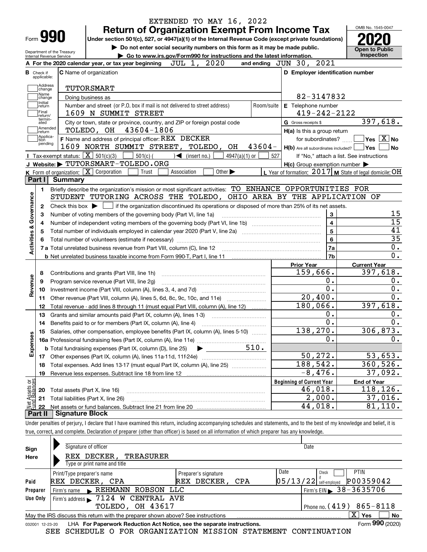|                                                                                                                                  |                                                                                   | <b>Return of Organization Exempt From Income Tax</b>                                                                                       |                        | EXTENDED TO MAY 16, 2022    |            |                                                                                                                                                                            | OMB No. 1545-0047                        |
|----------------------------------------------------------------------------------------------------------------------------------|-----------------------------------------------------------------------------------|--------------------------------------------------------------------------------------------------------------------------------------------|------------------------|-----------------------------|------------|----------------------------------------------------------------------------------------------------------------------------------------------------------------------------|------------------------------------------|
| Form 990                                                                                                                         |                                                                                   |                                                                                                                                            |                        |                             |            | Under section 501(c), 527, or 4947(a)(1) of the Internal Revenue Code (except private foundations)                                                                         |                                          |
|                                                                                                                                  |                                                                                   | Do not enter social security numbers on this form as it may be made public.                                                                |                        |                             |            |                                                                                                                                                                            | <b>Open to Public</b>                    |
| Department of the Treasury<br>Go to www.irs.gov/Form990 for instructions and the latest information.<br>Internal Revenue Service |                                                                                   |                                                                                                                                            |                        |                             |            |                                                                                                                                                                            | Inspection                               |
|                                                                                                                                  |                                                                                   | A For the 2020 calendar year, or tax year beginning                                                                                        | JUL 1, 2020            |                             |            | 2021<br>and ending $JUN$ 30,                                                                                                                                               |                                          |
| <b>B</b> Check if<br>applicable:                                                                                                 | <b>C</b> Name of organization                                                     |                                                                                                                                            |                        |                             |            | D Employer identification number                                                                                                                                           |                                          |
| Address                                                                                                                          |                                                                                   |                                                                                                                                            |                        |                             |            |                                                                                                                                                                            |                                          |
| change<br>Name                                                                                                                   | TUTORSMART                                                                        |                                                                                                                                            |                        |                             |            |                                                                                                                                                                            |                                          |
| change<br>  Initial                                                                                                              | Doing business as                                                                 |                                                                                                                                            |                        |                             |            | 82-3147832                                                                                                                                                                 |                                          |
| return<br>Final                                                                                                                  |                                                                                   | Number and street (or P.O. box if mail is not delivered to street address)<br>1609 N SUMMIT STREET                                         |                        |                             | Room/suite | E Telephone number<br>$419 - 242 - 2122$                                                                                                                                   |                                          |
| return/<br>termin-<br>ated                                                                                                       |                                                                                   | City or town, state or province, country, and ZIP or foreign postal code                                                                   |                        |                             |            | G Gross receipts \$                                                                                                                                                        | 397,618.                                 |
| Amended<br> return                                                                                                               |                                                                                   | TOLEDO, OH 43604-1806                                                                                                                      |                        |                             |            | H(a) Is this a group return                                                                                                                                                |                                          |
| Applica-<br>tion                                                                                                                 |                                                                                   | F Name and address of principal officer: REX DECKER                                                                                        |                        |                             |            | for subordinates?                                                                                                                                                          | $ \mathsf{Yes} \mid \mathrm{X}  $ No     |
| pending                                                                                                                          |                                                                                   | 1609 NORTH SUMMIT STREET, TOLEDO,                                                                                                          |                        | OH                          | $43604-$   | $H(b)$ Are all subordinates included? $\Box$                                                                                                                               | Yes!<br><b>No</b>                        |
|                                                                                                                                  | Tax-exempt status: $\boxed{\mathbf{X}}$ 501(c)(3)                                 | $501(c)$ (                                                                                                                                 | $\bigcup$ (insert no.) | $4947(a)(1)$ or             |            | 527                                                                                                                                                                        | If "No," attach a list. See instructions |
|                                                                                                                                  |                                                                                   | J Website: TUTORSMART-TOLEDO.ORG                                                                                                           |                        |                             |            | $H(c)$ Group exemption number $\blacktriangleright$                                                                                                                        |                                          |
|                                                                                                                                  | <b>K</b> Form of organization: $\boxed{\mathbf{X}}$ Corporation                   | Trust                                                                                                                                      | Association            | Other $\blacktriangleright$ |            | L Year of formation: $2017$ M State of legal domicile: OH                                                                                                                  |                                          |
| Part I                                                                                                                           | <b>Summary</b>                                                                    |                                                                                                                                            |                        |                             |            |                                                                                                                                                                            |                                          |
| 1.                                                                                                                               |                                                                                   |                                                                                                                                            |                        |                             |            | Briefly describe the organization's mission or most significant activities: TO ENHANCE OPPORTUNITIES FOR                                                                   |                                          |
| Governance                                                                                                                       |                                                                                   |                                                                                                                                            |                        |                             |            | STUDENT TUTORING ACROSS THE TOLEDO, OHIO AREA BY THE APPLICATION OF                                                                                                        |                                          |
| 2                                                                                                                                |                                                                                   |                                                                                                                                            |                        |                             |            | Check this box $\blacktriangleright$ $\Box$ if the organization discontinued its operations or disposed of more than 25% of its net assets.                                |                                          |
| з                                                                                                                                |                                                                                   | Number of voting members of the governing body (Part VI, line 1a)                                                                          |                        |                             |            | 3                                                                                                                                                                          | 15                                       |
| 4                                                                                                                                |                                                                                   |                                                                                                                                            | $\overline{4}$         | $\overline{15}$             |            |                                                                                                                                                                            |                                          |
| Activities &<br>5                                                                                                                |                                                                                   |                                                                                                                                            |                        |                             | 5          | 41                                                                                                                                                                         |                                          |
| 6                                                                                                                                |                                                                                   |                                                                                                                                            | 6                      | $\overline{35}$             |            |                                                                                                                                                                            |                                          |
|                                                                                                                                  |                                                                                   |                                                                                                                                            |                        |                             |            | 7a                                                                                                                                                                         | 0.                                       |
|                                                                                                                                  |                                                                                   |                                                                                                                                            |                        |                             |            | 7b                                                                                                                                                                         | $\overline{0}$ .                         |
|                                                                                                                                  |                                                                                   |                                                                                                                                            |                        |                             |            | <b>Prior Year</b>                                                                                                                                                          | <b>Current Year</b>                      |
| 8                                                                                                                                |                                                                                   | Contributions and grants (Part VIII, line 1h)                                                                                              |                        |                             |            | 159,666.                                                                                                                                                                   | 397,618.                                 |
| 9                                                                                                                                |                                                                                   | Program service revenue (Part VIII, line 2g)                                                                                               |                        |                             |            | 0.                                                                                                                                                                         | 0.                                       |
| Revenue<br>10                                                                                                                    |                                                                                   |                                                                                                                                            |                        |                             |            | 0.                                                                                                                                                                         | 0.                                       |
| 11                                                                                                                               |                                                                                   | Other revenue (Part VIII, column (A), lines 5, 6d, 8c, 9c, 10c, and 11e)                                                                   |                        |                             |            | 20,400.                                                                                                                                                                    | 0.                                       |
| 12                                                                                                                               |                                                                                   | Total revenue - add lines 8 through 11 (must equal Part VIII, column (A), line 12)                                                         |                        |                             |            | 180,066.                                                                                                                                                                   | 397,618.                                 |
| 13                                                                                                                               |                                                                                   | Grants and similar amounts paid (Part IX, column (A), lines 1-3)                                                                           |                        |                             |            | 0.<br>0.                                                                                                                                                                   | 0.<br>0.                                 |
| 14                                                                                                                               |                                                                                   | Benefits paid to or for members (Part IX, column (A), line 4)                                                                              |                        |                             |            |                                                                                                                                                                            |                                          |
| 15<br>Expenses                                                                                                                   | Salaries, other compensation, employee benefits (Part IX, column (A), lines 5-10) |                                                                                                                                            |                        |                             |            | 138,270.<br>0.                                                                                                                                                             | 306,873.                                 |
|                                                                                                                                  |                                                                                   |                                                                                                                                            |                        |                             | 510.       |                                                                                                                                                                            | 0.                                       |
|                                                                                                                                  |                                                                                   | <b>b</b> Total fundraising expenses (Part IX, column (D), line 25)                                                                         | ▶                      |                             |            | 50,272.                                                                                                                                                                    | 53,653.                                  |
|                                                                                                                                  | 17<br>Total expenses. Add lines 13-17 (must equal Part IX, column (A), line 25)   |                                                                                                                                            |                        |                             | 188,542.   | 360,526.                                                                                                                                                                   |                                          |
| 18                                                                                                                               |                                                                                   |                                                                                                                                            |                        |                             |            | $-8,476.$                                                                                                                                                                  | 37,092.                                  |
| 19                                                                                                                               |                                                                                   |                                                                                                                                            |                        |                             |            | <b>Beginning of Current Year</b>                                                                                                                                           | <b>End of Year</b>                       |
| 20                                                                                                                               | Total assets (Part X, line 16)                                                    |                                                                                                                                            |                        |                             |            | 46,018.                                                                                                                                                                    | 118,126.                                 |
| : Assets or<br>d Balances<br>21                                                                                                  | Total liabilities (Part X, line 26)                                               |                                                                                                                                            |                        |                             |            | 2,000.                                                                                                                                                                     | 37,016.                                  |
| 22                                                                                                                               |                                                                                   |                                                                                                                                            |                        |                             |            | 44,018.                                                                                                                                                                    | 81,110.                                  |
| Part II                                                                                                                          | <b>Signature Block</b>                                                            |                                                                                                                                            |                        |                             |            |                                                                                                                                                                            |                                          |
|                                                                                                                                  |                                                                                   |                                                                                                                                            |                        |                             |            | Under penalties of perjury, I declare that I have examined this return, including accompanying schedules and statements, and to the best of my knowledge and belief, it is |                                          |
|                                                                                                                                  |                                                                                   | true, correct, and complete. Declaration of preparer (other than officer) is based on all information of which preparer has any knowledge. |                        |                             |            |                                                                                                                                                                            |                                          |
|                                                                                                                                  |                                                                                   |                                                                                                                                            |                        |                             |            |                                                                                                                                                                            |                                          |
| Sian                                                                                                                             | Signature of officer                                                              |                                                                                                                                            |                        |                             |            | Date                                                                                                                                                                       |                                          |

| Sign                                                                                                     | <b>Signature of Officer</b>                                                                                  |                              | Dale                                         |  |  |  |  |  |  |  |
|----------------------------------------------------------------------------------------------------------|--------------------------------------------------------------------------------------------------------------|------------------------------|----------------------------------------------|--|--|--|--|--|--|--|
| Here                                                                                                     | REX DECKER,<br>TREASURER                                                                                     |                              |                                              |  |  |  |  |  |  |  |
|                                                                                                          | Type or print name and title                                                                                 |                              |                                              |  |  |  |  |  |  |  |
|                                                                                                          | Print/Type preparer's name                                                                                   | Date<br>Preparer's signature | <b>PTIN</b><br>Check                         |  |  |  |  |  |  |  |
| Paid                                                                                                     | REX DECKER, CPA                                                                                              | REX DECKER, CPA              | P00359042<br>$05/13/22$ self-employed        |  |  |  |  |  |  |  |
| Preparer                                                                                                 | REHMANN ROBSON<br>Firm's name                                                                                | LLC                          | $1$ Firm's EIN $\triangleright$ 38 - 3635706 |  |  |  |  |  |  |  |
| Use Only                                                                                                 | Firm's address > 7124 W CENTRAL AVE                                                                          |                              |                                              |  |  |  |  |  |  |  |
|                                                                                                          | Phone no. $(419)$ 865-8118<br>TOLEDO, OH 43617                                                               |                              |                                              |  |  |  |  |  |  |  |
| x<br><b>No</b><br>Yes<br>May the IRS discuss this return with the preparer shown above? See instructions |                                                                                                              |                              |                                              |  |  |  |  |  |  |  |
|                                                                                                          | Form 990 (2020)<br>LHA For Paperwork Reduction Act Notice, see the separate instructions.<br>032001 12-23-20 |                              |                                              |  |  |  |  |  |  |  |

SEE SCHEDULE O FOR ORGANIZATION MISSION STATEMENT CONTINUATION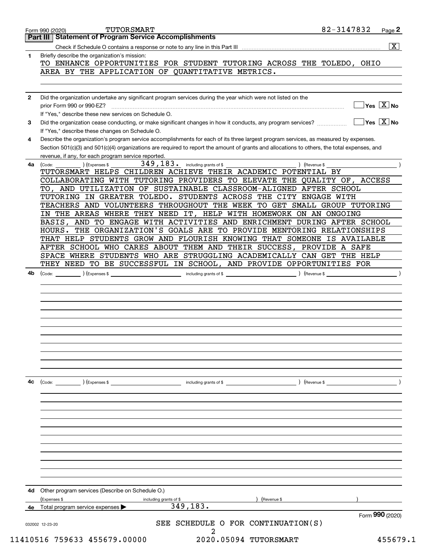|              | <b>Part III Statement of Program Service Accomplishments</b>                                                                                                                                                                        |                                      |
|--------------|-------------------------------------------------------------------------------------------------------------------------------------------------------------------------------------------------------------------------------------|--------------------------------------|
|              |                                                                                                                                                                                                                                     | $\boxed{\text{X}}$                   |
| 1.           | Briefly describe the organization's mission:                                                                                                                                                                                        |                                      |
|              | TO ENHANCE OPPORTUNITIES FOR STUDENT TUTORING ACROSS THE TOLEDO, OHIO                                                                                                                                                               |                                      |
|              |                                                                                                                                                                                                                                     |                                      |
|              | AREA BY THE APPLICATION OF QUANTITATIVE METRICS.                                                                                                                                                                                    |                                      |
|              |                                                                                                                                                                                                                                     |                                      |
|              |                                                                                                                                                                                                                                     |                                      |
| $\mathbf{2}$ | Did the organization undertake any significant program services during the year which were not listed on the                                                                                                                        |                                      |
|              | prior Form 990 or 990-EZ?                                                                                                                                                                                                           | $]$ Yes $[\overline{\mathrm{X}}]$ No |
|              | If "Yes." describe these new services on Schedule O.                                                                                                                                                                                |                                      |
|              |                                                                                                                                                                                                                                     |                                      |
| 3            |                                                                                                                                                                                                                                     |                                      |
|              | If "Yes," describe these changes on Schedule O.                                                                                                                                                                                     |                                      |
| 4            | Describe the organization's program service accomplishments for each of its three largest program services, as measured by expenses.                                                                                                |                                      |
|              | Section 501(c)(3) and 501(c)(4) organizations are required to report the amount of grants and allocations to others, the total expenses, and                                                                                        |                                      |
|              | revenue, if any, for each program service reported.                                                                                                                                                                                 |                                      |
| 4a l         | 349, 183. including grants of \$<br>(Expenses \$<br>(Code:                                                                                                                                                                          | ) (Revenue \$                        |
|              | TUTORSMART HELPS CHILDREN ACHIEVE THEIR ACADEMIC POTENTIAL BY                                                                                                                                                                       |                                      |
|              | COLLABORATING WITH TUTORING PROVIDERS TO ELEVATE THE QUALITY OF, ACCESS                                                                                                                                                             |                                      |
|              | TO, AND UTILIZATION OF SUSTAINABLE CLASSROOM-ALIGNED AFTER SCHOOL                                                                                                                                                                   |                                      |
|              | TUTORING IN GREATER TOLEDO. STUDENTS ACROSS THE CITY ENGAGE WITH                                                                                                                                                                    |                                      |
|              | TEACHERS AND VOLUNTEERS THROUGHOUT THE WEEK TO GET SMALL GROUP TUTORING                                                                                                                                                             |                                      |
|              |                                                                                                                                                                                                                                     |                                      |
|              | IN THE AREAS WHERE THEY NEED IT, HELP WITH HOMEWORK ON AN ONGOING                                                                                                                                                                   |                                      |
|              | BASIS, AND TO ENGAGE WITH ACTIVITIES AND ENRICHMENT DURING AFTER SCHOOL                                                                                                                                                             |                                      |
|              | HOURS. THE ORGANIZATION'S GOALS ARE TO PROVIDE MENTORING RELATIONSHIPS                                                                                                                                                              |                                      |
|              | THAT HELP STUDENTS GROW AND FLOURISH KNOWING THAT SOMEONE IS AVAILABLE                                                                                                                                                              |                                      |
|              | AFTER SCHOOL WHO CARES ABOUT THEM AND THEIR SUCCESS, PROVIDE A SAFE                                                                                                                                                                 |                                      |
|              | SPACE WHERE STUDENTS WHO ARE STRUGGLING ACADEMICALLY CAN GET THE HELP                                                                                                                                                               |                                      |
|              | THEY NEED TO BE SUCCESSFUL IN SCHOOL, AND PROVIDE OPPORTUNITIES FOR                                                                                                                                                                 |                                      |
| 4b           | (Code: <u>Code:</u> etc. Code: etc. Code: etc. Code: etc. Code: etc. Code: etc. Code: etc. Code: etc. Code: etc. Code: etc. Code: etc. Code: etc. Code: etc. Code: etc. Code: etc. Code: etc. Code: etc. Code: etc. Code: etc. Code |                                      |
|              |                                                                                                                                                                                                                                     |                                      |
|              |                                                                                                                                                                                                                                     |                                      |
|              |                                                                                                                                                                                                                                     |                                      |
|              |                                                                                                                                                                                                                                     |                                      |
|              |                                                                                                                                                                                                                                     |                                      |
|              |                                                                                                                                                                                                                                     |                                      |
|              |                                                                                                                                                                                                                                     |                                      |
|              |                                                                                                                                                                                                                                     |                                      |
|              |                                                                                                                                                                                                                                     |                                      |
|              |                                                                                                                                                                                                                                     |                                      |
|              |                                                                                                                                                                                                                                     |                                      |
|              |                                                                                                                                                                                                                                     |                                      |
|              |                                                                                                                                                                                                                                     |                                      |
|              |                                                                                                                                                                                                                                     |                                      |
| 4c           | (Expenses \$<br>(Code:<br>including grants of \$                                                                                                                                                                                    | ) (Revenue \$                        |
|              |                                                                                                                                                                                                                                     |                                      |
|              |                                                                                                                                                                                                                                     |                                      |
|              |                                                                                                                                                                                                                                     |                                      |
|              |                                                                                                                                                                                                                                     |                                      |
|              |                                                                                                                                                                                                                                     |                                      |
|              |                                                                                                                                                                                                                                     |                                      |
|              |                                                                                                                                                                                                                                     |                                      |
|              |                                                                                                                                                                                                                                     |                                      |
|              |                                                                                                                                                                                                                                     |                                      |
|              |                                                                                                                                                                                                                                     |                                      |
|              |                                                                                                                                                                                                                                     |                                      |
|              |                                                                                                                                                                                                                                     |                                      |
|              |                                                                                                                                                                                                                                     |                                      |
|              |                                                                                                                                                                                                                                     |                                      |
| 4d           | Other program services (Describe on Schedule O.)                                                                                                                                                                                    |                                      |
|              | (Expenses \$<br>including grants of \$<br>Revenue \$                                                                                                                                                                                |                                      |
| 4е           | 349,183.<br>Total program service expenses                                                                                                                                                                                          |                                      |
|              |                                                                                                                                                                                                                                     | Form 990 (2020)                      |
|              | SEE SCHEDULE O FOR CONTINUATION(S)<br>032002 12-23-20                                                                                                                                                                               |                                      |
|              | 2                                                                                                                                                                                                                                   |                                      |
|              | 11410516 759633 455679.00000<br>2020.05094 TUTORSMART                                                                                                                                                                               | 455679.1                             |
|              |                                                                                                                                                                                                                                     |                                      |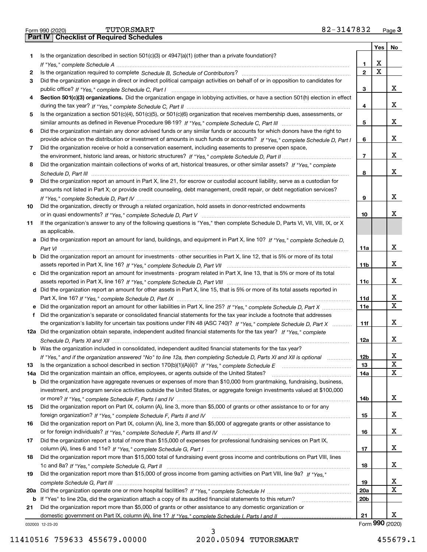| orm 990 (2020) |                                           | TUTORSMART | 82-3147832 | $P$ age $\ddot{\omega}$ |
|----------------|-------------------------------------------|------------|------------|-------------------------|
|                | Part IV   Checklist of Required Schedules |            |            |                         |

|     |                                                                                                                                                                                                                                                                |                 | Yes | No              |
|-----|----------------------------------------------------------------------------------------------------------------------------------------------------------------------------------------------------------------------------------------------------------------|-----------------|-----|-----------------|
| 1.  | Is the organization described in section $501(c)(3)$ or $4947(a)(1)$ (other than a private foundation)?                                                                                                                                                        |                 |     |                 |
|     |                                                                                                                                                                                                                                                                | 1               | х   |                 |
| 2   |                                                                                                                                                                                                                                                                | $\mathbf{2}$    | Χ   |                 |
| 3   | Did the organization engage in direct or indirect political campaign activities on behalf of or in opposition to candidates for                                                                                                                                |                 |     |                 |
|     |                                                                                                                                                                                                                                                                | 3               |     | x               |
| 4   | Section 501(c)(3) organizations. Did the organization engage in lobbying activities, or have a section 501(h) election in effect                                                                                                                               |                 |     |                 |
|     |                                                                                                                                                                                                                                                                | 4               |     | x               |
| 5   | Is the organization a section 501(c)(4), 501(c)(5), or 501(c)(6) organization that receives membership dues, assessments, or                                                                                                                                   |                 |     |                 |
|     |                                                                                                                                                                                                                                                                | 5               |     | x               |
| 6   | Did the organization maintain any donor advised funds or any similar funds or accounts for which donors have the right to                                                                                                                                      |                 |     |                 |
|     | provide advice on the distribution or investment of amounts in such funds or accounts? If "Yes," complete Schedule D, Part I                                                                                                                                   | 6               |     | x               |
| 7   | Did the organization receive or hold a conservation easement, including easements to preserve open space,                                                                                                                                                      |                 |     | x               |
|     | Did the organization maintain collections of works of art, historical treasures, or other similar assets? If "Yes," complete                                                                                                                                   | $\overline{7}$  |     |                 |
| 8   |                                                                                                                                                                                                                                                                | 8               |     | x               |
| 9   | Did the organization report an amount in Part X, line 21, for escrow or custodial account liability, serve as a custodian for                                                                                                                                  |                 |     |                 |
|     | amounts not listed in Part X; or provide credit counseling, debt management, credit repair, or debt negotiation services?                                                                                                                                      |                 |     |                 |
|     |                                                                                                                                                                                                                                                                | 9               |     | x               |
| 10  | Did the organization, directly or through a related organization, hold assets in donor-restricted endowments                                                                                                                                                   |                 |     |                 |
|     |                                                                                                                                                                                                                                                                | 10              |     | x               |
| 11  | If the organization's answer to any of the following questions is "Yes," then complete Schedule D, Parts VI, VII, VIII, IX, or X                                                                                                                               |                 |     |                 |
|     | as applicable.                                                                                                                                                                                                                                                 |                 |     |                 |
|     | a Did the organization report an amount for land, buildings, and equipment in Part X, line 10? If "Yes," complete Schedule D,                                                                                                                                  |                 |     |                 |
|     |                                                                                                                                                                                                                                                                | 11a             |     | x               |
|     | <b>b</b> Did the organization report an amount for investments - other securities in Part X, line 12, that is 5% or more of its total                                                                                                                          |                 |     |                 |
|     |                                                                                                                                                                                                                                                                | 11 <sub>b</sub> |     | x               |
|     | c Did the organization report an amount for investments - program related in Part X, line 13, that is 5% or more of its total                                                                                                                                  |                 |     |                 |
|     |                                                                                                                                                                                                                                                                | 11c             |     | x               |
|     | d Did the organization report an amount for other assets in Part X, line 15, that is 5% or more of its total assets reported in                                                                                                                                |                 |     |                 |
|     |                                                                                                                                                                                                                                                                | 11d             |     | x               |
|     |                                                                                                                                                                                                                                                                | 11e             |     | X               |
| f   | Did the organization's separate or consolidated financial statements for the tax year include a footnote that addresses                                                                                                                                        |                 |     |                 |
|     | the organization's liability for uncertain tax positions under FIN 48 (ASC 740)? If "Yes," complete Schedule D, Part X                                                                                                                                         | 11f             |     | X.              |
|     | 12a Did the organization obtain separate, independent audited financial statements for the tax year? If "Yes," complete                                                                                                                                        |                 |     |                 |
|     |                                                                                                                                                                                                                                                                | 12a             |     | X.              |
|     | <b>b</b> Was the organization included in consolidated, independent audited financial statements for the tax year?                                                                                                                                             |                 |     |                 |
|     | If "Yes," and if the organization answered "No" to line 12a, then completing Schedule D, Parts XI and XII is optional                                                                                                                                          | 12 <sub>b</sub> |     | Х<br>X          |
| 13  | Is the organization a school described in section $170(b)(1)(A)(ii)?$ If "Yes," complete Schedule E                                                                                                                                                            | 13              |     | x               |
| 14a | Did the organization maintain an office, employees, or agents outside of the United States?                                                                                                                                                                    | 14a             |     |                 |
|     | <b>b</b> Did the organization have aggregate revenues or expenses of more than \$10,000 from grantmaking, fundraising, business,<br>investment, and program service activities outside the United States, or aggregate foreign investments valued at \$100,000 |                 |     |                 |
|     |                                                                                                                                                                                                                                                                | 14b             |     | X.              |
| 15  | Did the organization report on Part IX, column (A), line 3, more than \$5,000 of grants or other assistance to or for any                                                                                                                                      |                 |     |                 |
|     |                                                                                                                                                                                                                                                                | 15              |     | X.              |
| 16  | Did the organization report on Part IX, column (A), line 3, more than \$5,000 of aggregate grants or other assistance to                                                                                                                                       |                 |     |                 |
|     |                                                                                                                                                                                                                                                                | 16              |     | X.              |
| 17  | Did the organization report a total of more than \$15,000 of expenses for professional fundraising services on Part IX,                                                                                                                                        |                 |     |                 |
|     |                                                                                                                                                                                                                                                                | 17              |     | X.              |
| 18  | Did the organization report more than \$15,000 total of fundraising event gross income and contributions on Part VIII, lines                                                                                                                                   |                 |     |                 |
|     |                                                                                                                                                                                                                                                                | 18              |     | X.              |
| 19  | Did the organization report more than \$15,000 of gross income from gaming activities on Part VIII, line 9a? If "Yes."                                                                                                                                         |                 |     |                 |
|     |                                                                                                                                                                                                                                                                | 19              |     | x               |
| 20a |                                                                                                                                                                                                                                                                | 20a             |     | X               |
|     | b If "Yes" to line 20a, did the organization attach a copy of its audited financial statements to this return?                                                                                                                                                 | 20 <sub>b</sub> |     |                 |
| 21  | Did the organization report more than \$5,000 of grants or other assistance to any domestic organization or                                                                                                                                                    |                 |     |                 |
|     |                                                                                                                                                                                                                                                                | 21              |     | x               |
|     | 032003 12-23-20                                                                                                                                                                                                                                                |                 |     | Form 990 (2020) |

032003 12-23-20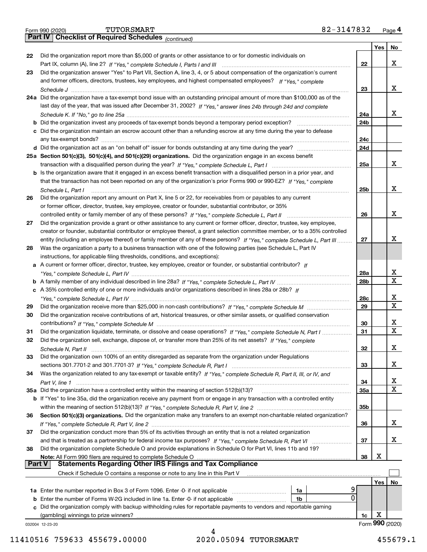|               |                                                                                                                                    | 23  |                 | x           |
|---------------|------------------------------------------------------------------------------------------------------------------------------------|-----|-----------------|-------------|
|               | 24a Did the organization have a tax-exempt bond issue with an outstanding principal amount of more than \$100,000 as of the        |     |                 |             |
|               | last day of the year, that was issued after December 31, 2002? If "Yes," answer lines 24b through 24d and complete                 |     |                 |             |
|               |                                                                                                                                    | 24a |                 | x           |
|               | <b>b</b> Did the organization invest any proceeds of tax-exempt bonds beyond a temporary period exception?                         | 24b |                 |             |
|               | c Did the organization maintain an escrow account other than a refunding escrow at any time during the year to defease             |     |                 |             |
|               | any tax-exempt bonds?                                                                                                              | 24c |                 |             |
|               |                                                                                                                                    | 24d |                 |             |
|               | 25a Section 501(c)(3), 501(c)(4), and 501(c)(29) organizations. Did the organization engage in an excess benefit                   |     |                 |             |
|               |                                                                                                                                    | 25a |                 | x           |
|               | b Is the organization aware that it engaged in an excess benefit transaction with a disqualified person in a prior year, and       |     |                 |             |
|               | that the transaction has not been reported on any of the organization's prior Forms 990 or 990-EZ? If "Yes," complete              |     |                 |             |
|               |                                                                                                                                    |     |                 | x           |
|               | Schedule L, Part I                                                                                                                 | 25b |                 |             |
| 26            | Did the organization report any amount on Part X, line 5 or 22, for receivables from or payables to any current                    |     |                 |             |
|               | or former officer, director, trustee, key employee, creator or founder, substantial contributor, or 35%                            |     |                 | X           |
|               |                                                                                                                                    | 26  |                 |             |
| 27            | Did the organization provide a grant or other assistance to any current or former officer, director, trustee, key employee,        |     |                 |             |
|               | creator or founder, substantial contributor or employee thereof, a grant selection committee member, or to a 35% controlled        |     |                 |             |
|               | entity (including an employee thereof) or family member of any of these persons? If "Yes," complete Schedule L, Part III           | 27  |                 | х           |
| 28            | Was the organization a party to a business transaction with one of the following parties (see Schedule L, Part IV                  |     |                 |             |
|               | instructions, for applicable filing thresholds, conditions, and exceptions):                                                       |     |                 |             |
|               | a A current or former officer, director, trustee, key employee, creator or founder, or substantial contributor? If                 |     |                 |             |
|               |                                                                                                                                    | 28a |                 | х           |
|               |                                                                                                                                    | 28b |                 | X           |
|               | c A 35% controlled entity of one or more individuals and/or organizations described in lines 28a or 28b? If                        |     |                 |             |
|               |                                                                                                                                    | 28c |                 | х           |
| 29            |                                                                                                                                    | 29  |                 | х           |
| 30            | Did the organization receive contributions of art, historical treasures, or other similar assets, or qualified conservation        |     |                 |             |
|               |                                                                                                                                    | 30  |                 | х           |
| 31            | Did the organization liquidate, terminate, or dissolve and cease operations? If "Yes," complete Schedule N, Part I                 | 31  |                 | X           |
| 32            | Did the organization sell, exchange, dispose of, or transfer more than 25% of its net assets? If "Yes," complete                   |     |                 |             |
|               |                                                                                                                                    | 32  |                 | X           |
| 33            | Did the organization own 100% of an entity disregarded as separate from the organization under Regulations                         |     |                 |             |
|               |                                                                                                                                    | 33  |                 | X           |
| 34            | Was the organization related to any tax-exempt or taxable entity? If "Yes," complete Schedule R, Part II, III, or IV, and          |     |                 |             |
|               | Part V, line 1 ……………………………………………………………………………………                                                                                    | 34  |                 | х           |
|               | 35a Did the organization have a controlled entity within the meaning of section 512(b)(13)?                                        | 35a |                 | $\mathbf X$ |
|               | <b>b</b> If "Yes" to line 35a, did the organization receive any payment from or engage in any transaction with a controlled entity |     |                 |             |
|               |                                                                                                                                    | 35b |                 |             |
| 36            | Section 501(c)(3) organizations. Did the organization make any transfers to an exempt non-charitable related organization?         |     |                 |             |
|               |                                                                                                                                    | 36  |                 | х           |
| 37            | Did the organization conduct more than 5% of its activities through an entity that is not a related organization                   |     |                 |             |
|               | and that is treated as a partnership for federal income tax purposes? If "Yes," complete Schedule R, Part VI                       | 37  |                 | х           |
| 38            | Did the organization complete Schedule O and provide explanations in Schedule O for Part VI, lines 11b and 19?                     |     |                 |             |
| <b>Part V</b> | Note: All Form 990 filers are required to complete Schedule O<br><b>Statements Regarding Other IRS Filings and Tax Compliance</b>  | 38  | X               |             |
|               | Check if Schedule O contains a response or note to any line in this Part V                                                         |     |                 |             |
|               |                                                                                                                                    |     |                 |             |
|               |                                                                                                                                    |     | Yes             | No          |
|               | 1a<br>0                                                                                                                            |     |                 |             |
|               | 1b<br>Did the organization comply with backup withholding rules for reportable payments to vendors and reportable gaming           |     |                 |             |
|               | (gambling) winnings to prize winners?                                                                                              | 1c  | х               |             |
|               | 032004 12-23-20                                                                                                                    |     | Form 990 (2020) |             |
|               |                                                                                                                                    |     |                 |             |

Part IX, column (A), line 2? H "Yes," complete Schedule I, Parts I and III **www.www.www.www.www.www.www.ww** 

Did the organization answer "Yes" to Part VII, Section A, line 3, 4, or 5 about compensation of the organization's current

*If "Yes," complete* and former officers, directors, trustees, key employees, and highest compensated employees?

Did the organization report more than \$5,000 of grants or other assistance to or for domestic individuals on

032004 12-23-20

**22**

**Yes**

**No**

X

X

| art IV I | Checkl |
|----------|--------|
|          |        |

**22**

**23**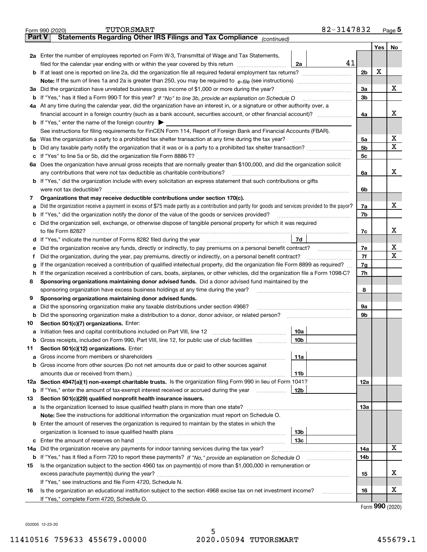|               | 82-3147832<br>TUTORSMART<br>Form 990 (2020)                                                                                                                                                |                |         | <u>Page 5</u> |  |  |  |
|---------------|--------------------------------------------------------------------------------------------------------------------------------------------------------------------------------------------|----------------|---------|---------------|--|--|--|
| <b>Part V</b> | Statements Regarding Other IRS Filings and Tax Compliance (continued)                                                                                                                      |                |         |               |  |  |  |
|               |                                                                                                                                                                                            |                | Yes $ $ | No            |  |  |  |
|               | 2a Enter the number of employees reported on Form W-3, Transmittal of Wage and Tax Statements,                                                                                             |                |         |               |  |  |  |
|               | 41<br>filed for the calendar year ending with or within the year covered by this return [111] [11] filed for the calendar year ending with or within the year covered by this return<br>2a |                |         |               |  |  |  |
|               |                                                                                                                                                                                            | 2 <sub>b</sub> | X       |               |  |  |  |
|               |                                                                                                                                                                                            |                |         |               |  |  |  |
|               | 3a Did the organization have unrelated business gross income of \$1,000 or more during the year?                                                                                           | 3a             |         | x             |  |  |  |
|               |                                                                                                                                                                                            | 3b             |         |               |  |  |  |
|               | 4a At any time during the calendar year, did the organization have an interest in, or a signature or other authority over, a                                                               |                |         |               |  |  |  |
|               |                                                                                                                                                                                            | 4a             |         | х             |  |  |  |
|               | <b>b</b> If "Yes," enter the name of the foreign country $\blacktriangleright$                                                                                                             |                |         |               |  |  |  |
|               | See instructions for filing requirements for FinCEN Form 114, Report of Foreign Bank and Financial Accounts (FBAR).                                                                        |                |         |               |  |  |  |
|               | 5a Was the organization a party to a prohibited tax shelter transaction at any time during the tax year?                                                                                   | 5a             |         | X             |  |  |  |
| b             |                                                                                                                                                                                            | 5 <sub>b</sub> |         | х             |  |  |  |
|               |                                                                                                                                                                                            | 5с             |         |               |  |  |  |
|               | 6a Does the organization have annual gross receipts that are normally greater than \$100,000, and did the organization solicit                                                             |                |         |               |  |  |  |
|               |                                                                                                                                                                                            | 6a             |         | х             |  |  |  |
|               | <b>b</b> If "Yes," did the organization include with every solicitation an express statement that such contributions or gifts                                                              |                |         |               |  |  |  |
|               | were not tax deductible?                                                                                                                                                                   | 6b             |         |               |  |  |  |
| 7             | Organizations that may receive deductible contributions under section 170(c).                                                                                                              |                |         |               |  |  |  |
| а             | Did the organization receive a payment in excess of \$75 made partly as a contribution and partly for goods and services provided to the payor?                                            | 7a             |         | х             |  |  |  |
|               | <b>b</b> If "Yes," did the organization notify the donor of the value of the goods or services provided?                                                                                   | 7b             |         |               |  |  |  |
|               | c Did the organization sell, exchange, or otherwise dispose of tangible personal property for which it was required                                                                        |                |         |               |  |  |  |
|               |                                                                                                                                                                                            | 7с             |         | х             |  |  |  |
|               | 7d                                                                                                                                                                                         |                |         |               |  |  |  |
| е             | Did the organization receive any funds, directly or indirectly, to pay premiums on a personal benefit contract?                                                                            | 7e             |         | х             |  |  |  |
| f             | Did the organization, during the year, pay premiums, directly or indirectly, on a personal benefit contract?                                                                               | 7f             |         | x             |  |  |  |
| g             | If the organization received a contribution of qualified intellectual property, did the organization file Form 8899 as required?                                                           |                |         |               |  |  |  |
| h.            | If the organization received a contribution of cars, boats, airplanes, or other vehicles, did the organization file a Form 1098-C?                                                         | 7h             |         |               |  |  |  |
| 8             | Sponsoring organizations maintaining donor advised funds. Did a donor advised fund maintained by the                                                                                       |                |         |               |  |  |  |
|               | sponsoring organization have excess business holdings at any time during the year?                                                                                                         | 8              |         |               |  |  |  |
| 9             | Sponsoring organizations maintaining donor advised funds.                                                                                                                                  |                |         |               |  |  |  |
| а             | Did the sponsoring organization make any taxable distributions under section 4966?                                                                                                         | 9а             |         |               |  |  |  |
|               | <b>b</b> Did the sponsoring organization make a distribution to a donor, donor advisor, or related person?                                                                                 | 9b             |         |               |  |  |  |
| 10            | Section 501(c)(7) organizations. Enter:                                                                                                                                                    |                |         |               |  |  |  |
|               | 10a                                                                                                                                                                                        |                |         |               |  |  |  |
|               | 10b <br>Gross receipts, included on Form 990, Part VIII, line 12, for public use of club facilities                                                                                        |                |         |               |  |  |  |
| 11            | Section 501(c)(12) organizations. Enter:                                                                                                                                                   |                |         |               |  |  |  |
|               | 11a                                                                                                                                                                                        |                |         |               |  |  |  |
|               | b Gross income from other sources (Do not net amounts due or paid to other sources against                                                                                                 |                |         |               |  |  |  |
|               | 11b                                                                                                                                                                                        |                |         |               |  |  |  |
|               | 12a Section 4947(a)(1) non-exempt charitable trusts. Is the organization filing Form 990 in lieu of Form 1041?                                                                             | 12a            |         |               |  |  |  |
|               | 12b<br><b>b</b> If "Yes," enter the amount of tax-exempt interest received or accrued during the year                                                                                      |                |         |               |  |  |  |
| 13            | Section 501(c)(29) qualified nonprofit health insurance issuers.                                                                                                                           |                |         |               |  |  |  |
|               | a Is the organization licensed to issue qualified health plans in more than one state?                                                                                                     | 13а            |         |               |  |  |  |
|               | Note: See the instructions for additional information the organization must report on Schedule O.                                                                                          |                |         |               |  |  |  |
|               | <b>b</b> Enter the amount of reserves the organization is required to maintain by the states in which the                                                                                  |                |         |               |  |  |  |
|               | 13b                                                                                                                                                                                        |                |         |               |  |  |  |
|               | 13с                                                                                                                                                                                        |                |         |               |  |  |  |
| 14a           | Did the organization receive any payments for indoor tanning services during the tax year?                                                                                                 | 14a            |         | x             |  |  |  |
|               | <b>b</b> If "Yes," has it filed a Form 720 to report these payments? If "No," provide an explanation on Schedule O                                                                         | 14b            |         |               |  |  |  |
| 15            | Is the organization subject to the section 4960 tax on payment(s) of more than \$1,000,000 in remuneration or                                                                              |                |         |               |  |  |  |
|               |                                                                                                                                                                                            | 15             |         | х             |  |  |  |
|               | If "Yes," see instructions and file Form 4720, Schedule N.                                                                                                                                 |                |         |               |  |  |  |
| 16            | Is the organization an educational institution subject to the section 4968 excise tax on net investment income?                                                                            | 16             |         | х             |  |  |  |
|               | If "Yes," complete Form 4720, Schedule O.                                                                                                                                                  |                |         |               |  |  |  |

Form (2020) **990**

032005 12-23-20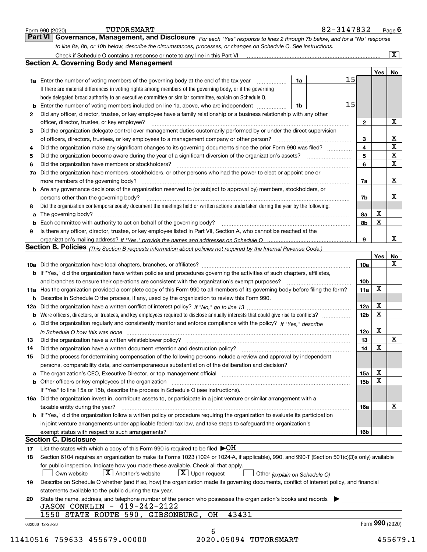|    | to line 8a, 8b, or 10b below, describe the circumstances, processes, or changes on Schedule O. See instructions.                                 |                 |             |                         |  |  |  |
|----|--------------------------------------------------------------------------------------------------------------------------------------------------|-----------------|-------------|-------------------------|--|--|--|
|    |                                                                                                                                                  |                 |             | $\overline{\mathbf{x}}$ |  |  |  |
|    | <b>Section A. Governing Body and Management</b>                                                                                                  |                 |             |                         |  |  |  |
|    | 15                                                                                                                                               |                 | Yes         | No                      |  |  |  |
|    | 1a Enter the number of voting members of the governing body at the end of the tax year<br>1a                                                     |                 |             |                         |  |  |  |
|    | If there are material differences in voting rights among members of the governing body, or if the governing                                      |                 |             |                         |  |  |  |
|    | body delegated broad authority to an executive committee or similar committee, explain on Schedule O.                                            |                 |             |                         |  |  |  |
|    | 15<br>1b                                                                                                                                         |                 |             |                         |  |  |  |
| 2  | Did any officer, director, trustee, or key employee have a family relationship or a business relationship with any other                         |                 |             |                         |  |  |  |
|    | officer, director, trustee, or key employee?                                                                                                     | $\mathbf{2}$    |             | х                       |  |  |  |
| 3  | Did the organization delegate control over management duties customarily performed by or under the direct supervision                            |                 |             |                         |  |  |  |
|    | of officers, directors, trustees, or key employees to a management company or other person?                                                      | 3               |             | X                       |  |  |  |
| 4  | Did the organization make any significant changes to its governing documents since the prior Form 990 was filed?                                 | 4               |             | $\overline{\mathbf{x}}$ |  |  |  |
| 5  |                                                                                                                                                  | 5               |             | $\mathbf X$             |  |  |  |
| 6  | Did the organization have members or stockholders?                                                                                               | 6               |             | X                       |  |  |  |
|    | 7a Did the organization have members, stockholders, or other persons who had the power to elect or appoint one or                                |                 |             |                         |  |  |  |
|    | more members of the governing body?                                                                                                              | 7a              |             | X                       |  |  |  |
|    | <b>b</b> Are any governance decisions of the organization reserved to (or subject to approval by) members, stockholders, or                      |                 |             |                         |  |  |  |
|    | persons other than the governing body?                                                                                                           | 7b              |             | X                       |  |  |  |
| 8  | Did the organization contemporaneously document the meetings held or written actions undertaken during the year by the following:                |                 |             |                         |  |  |  |
| a  |                                                                                                                                                  | 8а              | X           |                         |  |  |  |
|    |                                                                                                                                                  | 8b              | $\mathbf X$ |                         |  |  |  |
| 9  | Is there any officer, director, trustee, or key employee listed in Part VII, Section A, who cannot be reached at the                             |                 |             |                         |  |  |  |
|    |                                                                                                                                                  | 9               |             | X                       |  |  |  |
|    | Section B. Policies (This Section B requests information about policies not required by the Internal Revenue Code.)                              |                 |             |                         |  |  |  |
|    |                                                                                                                                                  |                 | Yes         | No                      |  |  |  |
|    |                                                                                                                                                  | 10a             |             | X                       |  |  |  |
|    | <b>b</b> If "Yes," did the organization have written policies and procedures governing the activities of such chapters, affiliates,              |                 |             |                         |  |  |  |
|    | and branches to ensure their operations are consistent with the organization's exempt purposes?                                                  | 10 <sub>b</sub> |             |                         |  |  |  |
|    | 11a Has the organization provided a complete copy of this Form 990 to all members of its governing body before filing the form?                  | 11a             | X           |                         |  |  |  |
|    |                                                                                                                                                  |                 |             |                         |  |  |  |
|    | <b>b</b> Describe in Schedule O the process, if any, used by the organization to review this Form 990.                                           |                 | X           |                         |  |  |  |
|    |                                                                                                                                                  | 12a             | $\mathbf X$ |                         |  |  |  |
|    | <b>b</b> Were officers, directors, or trustees, and key employees required to disclose annually interests that could give rise to conflicts?     | 12 <sub>b</sub> |             |                         |  |  |  |
|    | c Did the organization regularly and consistently monitor and enforce compliance with the policy? If "Yes," describe                             |                 |             |                         |  |  |  |
|    | in Schedule O how this was done manufactured and continuum control of the state of the state of the state of t                                   | 12c             | X           |                         |  |  |  |
| 13 | Did the organization have a written whistleblower policy?                                                                                        | 13              |             | X.                      |  |  |  |
| 14 | Did the organization have a written document retention and destruction policy?                                                                   | 14              | X           |                         |  |  |  |
| 15 | Did the process for determining compensation of the following persons include a review and approval by independent                               |                 |             |                         |  |  |  |
|    | persons, comparability data, and contemporaneous substantiation of the deliberation and decision?                                                |                 |             |                         |  |  |  |
|    | a The organization's CEO, Executive Director, or top management official [111] [11] manument material manument                                   | 15a             | X           |                         |  |  |  |
|    |                                                                                                                                                  | 15 <sub>b</sub> | X           |                         |  |  |  |
|    | If "Yes" to line 15a or 15b, describe the process in Schedule O (see instructions).                                                              |                 |             |                         |  |  |  |
|    | 16a Did the organization invest in, contribute assets to, or participate in a joint venture or similar arrangement with a                        |                 |             |                         |  |  |  |
|    | taxable entity during the year?                                                                                                                  | 16a             |             | X                       |  |  |  |
|    | b If "Yes," did the organization follow a written policy or procedure requiring the organization to evaluate its participation                   |                 |             |                         |  |  |  |
|    | in joint venture arrangements under applicable federal tax law, and take steps to safeguard the organization's                                   |                 |             |                         |  |  |  |
|    |                                                                                                                                                  | 16b             |             |                         |  |  |  |
|    | <b>Section C. Disclosure</b>                                                                                                                     |                 |             |                         |  |  |  |
| 17 | List the states with which a copy of this Form 990 is required to be filed $\blacktriangleright$ OH                                              |                 |             |                         |  |  |  |
| 18 | Section 6104 requires an organization to make its Forms 1023 (1024 or 1024-A, if applicable), 990, and 990-T (Section 501(c)(3)s only) available |                 |             |                         |  |  |  |
|    | for public inspection. Indicate how you made these available. Check all that apply.                                                              |                 |             |                         |  |  |  |
|    | $\lfloor x \rfloor$ Upon request<br>$\lfloor x \rfloor$ Another's website<br>Own website<br>Other (explain on Schedule O)                        |                 |             |                         |  |  |  |
|    | Describe on Schedule O whether (and if so, how) the organization made its governing documents, conflict of interest policy, and financial        |                 |             |                         |  |  |  |
| 19 | statements available to the public during the tax year.                                                                                          |                 |             |                         |  |  |  |
|    |                                                                                                                                                  |                 |             |                         |  |  |  |
| 20 | State the name, address, and telephone number of the person who possesses the organization's books and records                                   |                 |             |                         |  |  |  |
|    |                                                                                                                                                  |                 |             |                         |  |  |  |
|    | JASON CONKLIN - 419-242-2122<br>43431<br>1550 STATE ROUTE 590, GIBSONBURG, OH                                                                    |                 |             |                         |  |  |  |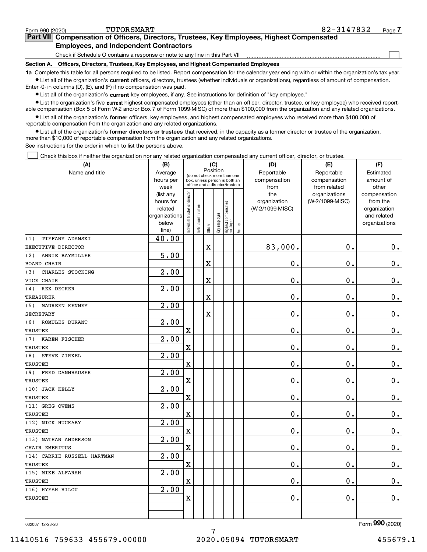| Form 990 (2020) | TUTORSMART                                                                                 | 82-3147832 | Page 7 |
|-----------------|--------------------------------------------------------------------------------------------|------------|--------|
|                 | Part VII Compensation of Officers, Directors, Trustees, Key Employees, Highest Compensated |            |        |
|                 | <b>Employees, and Independent Contractors</b>                                              |            |        |

Check if Schedule O contains a response or note to any line in this Part VII

**Section A. Officers, Directors, Trustees, Key Employees, and Highest Compensated Employees**

**1a**  Complete this table for all persons required to be listed. Report compensation for the calendar year ending with or within the organization's tax year. **•** List all of the organization's current officers, directors, trustees (whether individuals or organizations), regardless of amount of compensation.

Enter -0- in columns (D), (E), and (F) if no compensation was paid.

 $\bullet$  List all of the organization's  $\,$ current key employees, if any. See instructions for definition of "key employee."

**•** List the organization's five current highest compensated employees (other than an officer, director, trustee, or key employee) who received reportable compensation (Box 5 of Form W-2 and/or Box 7 of Form 1099-MISC) of more than \$100,000 from the organization and any related organizations.

**•** List all of the organization's former officers, key employees, and highest compensated employees who received more than \$100,000 of reportable compensation from the organization and any related organizations.

**former directors or trustees**  ¥ List all of the organization's that received, in the capacity as a former director or trustee of the organization, more than \$10,000 of reportable compensation from the organization and any related organizations.

See instructions for the order in which to list the persons above.

Check this box if neither the organization nor any related organization compensated any current officer, director, or trustee.  $\mathcal{L}^{\text{max}}$ 

| (A)                           | (B)                      | (C)                           |                                                                  |                         |              |                                   |        | (D)             | (E)             | (F)                         |
|-------------------------------|--------------------------|-------------------------------|------------------------------------------------------------------|-------------------------|--------------|-----------------------------------|--------|-----------------|-----------------|-----------------------------|
| Name and title                | Average                  |                               |                                                                  | Position                |              | (do not check more than one       |        | Reportable      | Reportable      | Estimated                   |
|                               | hours per                |                               | box, unless person is both an<br>officer and a director/trustee) |                         |              |                                   |        | compensation    | compensation    | amount of                   |
|                               | week                     |                               |                                                                  |                         |              |                                   |        | from            | from related    | other                       |
|                               | (list any                |                               |                                                                  |                         |              |                                   |        | the             | organizations   | compensation                |
|                               | hours for                |                               |                                                                  |                         |              |                                   |        | organization    | (W-2/1099-MISC) | from the                    |
|                               | related<br>organizations |                               |                                                                  |                         |              |                                   |        | (W-2/1099-MISC) |                 | organization<br>and related |
|                               | below                    |                               |                                                                  |                         |              |                                   |        |                 |                 | organizations               |
|                               | line)                    | ndividual trustee or director | Institutional trustee                                            | Officer                 | Key employee | Highest compensated<br>  employee | Former |                 |                 |                             |
| TIFFANY ADAMSKI<br>(1)        | 40.00                    |                               |                                                                  |                         |              |                                   |        |                 |                 |                             |
| EXECUTIVE DIRECTOR            |                          |                               |                                                                  | X                       |              |                                   |        | 83,000.         | 0.              | 0.                          |
| (2)<br>ANNIE BAYMILLER        | 5.00                     |                               |                                                                  |                         |              |                                   |        |                 |                 |                             |
| <b>BOARD CHAIR</b>            |                          |                               |                                                                  | X                       |              |                                   |        | 0.              | 0.              | $0_{.}$                     |
| (3)<br>CHARLES STOCKING       | 2.00                     |                               |                                                                  |                         |              |                                   |        |                 |                 |                             |
| VICE CHAIR                    |                          |                               |                                                                  | $\overline{\textbf{X}}$ |              |                                   |        | 0.              | 0.              | $\mathbf 0$ .               |
| (4)<br>REX DECKER             | $\overline{2.00}$        |                               |                                                                  |                         |              |                                   |        |                 |                 |                             |
| <b>TREASURER</b>              |                          |                               |                                                                  | $\overline{\textbf{X}}$ |              |                                   |        | 0.              | 0.              | $\mathbf 0$ .               |
| (5) MAUREEN KENNEY            | $\overline{2.00}$        |                               |                                                                  |                         |              |                                   |        |                 |                 |                             |
| <b>SECRETARY</b>              |                          |                               |                                                                  | X                       |              |                                   |        | 0.              | 0.              | $\mathbf 0$ .               |
| (6) ROMULES DURANT            | 2.00                     |                               |                                                                  |                         |              |                                   |        |                 |                 |                             |
| TRUSTEE                       |                          | $\mathbf X$                   |                                                                  |                         |              |                                   |        | 0.              | 0.              | $\mathbf 0$ .               |
| (7)<br>KAREN FISCHER          | 2.00                     |                               |                                                                  |                         |              |                                   |        |                 |                 |                             |
| <b>TRUSTEE</b>                |                          | $\mathbf X$                   |                                                                  |                         |              |                                   |        | 0.              | 0.              | $\mathbf 0$ .               |
| (8)<br>STEVE ZIRKEL           | 2.00                     |                               |                                                                  |                         |              |                                   |        |                 |                 |                             |
| TRUSTEE                       |                          | $\mathbf X$                   |                                                                  |                         |              |                                   |        | 0.              | $\mathbf 0$ .   | $\mathbf 0$ .               |
| <b>FRED DANNHAUSER</b><br>(9) | 2.00                     |                               |                                                                  |                         |              |                                   |        |                 |                 |                             |
| TRUSTEE                       |                          | $\mathbf X$                   |                                                                  |                         |              |                                   |        | 0.              | $\mathbf 0$ .   | $\mathbf 0$ .               |
| (10) JACK KELLY               | 2.00                     |                               |                                                                  |                         |              |                                   |        |                 |                 |                             |
| <b>TRUSTEE</b>                |                          | $\mathbf X$                   |                                                                  |                         |              |                                   |        | 0.              | 0.              | $\mathbf 0$ .               |
| (11) GREG OWENS               | 2.00                     |                               |                                                                  |                         |              |                                   |        |                 |                 |                             |
| <b>TRUSTEE</b>                |                          | $\mathbf X$                   |                                                                  |                         |              |                                   |        | $\mathbf 0$ .   | 0.              | $\mathbf 0$ .               |
| (12) NICK HUCKABY             | 2.00                     |                               |                                                                  |                         |              |                                   |        |                 |                 |                             |
| TRUSTEE                       |                          | $\mathbf X$                   |                                                                  |                         |              |                                   |        | 0.              | 0.              | $\mathbf 0$ .               |
| (13) NATHAN ANDERSON          | 2.00                     |                               |                                                                  |                         |              |                                   |        |                 |                 |                             |
| CHAIR EMERITUS                |                          | $\mathbf X$                   |                                                                  |                         |              |                                   |        | 0.              | 0.              | $0_{.}$                     |
| (14) CARRIE RUSSELL HARTMAN   | 2.00                     |                               |                                                                  |                         |              |                                   |        |                 |                 |                             |
| <b>TRUSTEE</b>                |                          | $\overline{\textbf{X}}$       |                                                                  |                         |              |                                   |        | $\mathbf 0$ .   | 0.              | 0.                          |
| (15) MIKE ALFARAH             | 2.00                     |                               |                                                                  |                         |              |                                   |        |                 |                 |                             |
| <b>TRUSTEE</b>                |                          | $\mathbf X$                   |                                                                  |                         |              |                                   |        | 0.              | 0.              | $\mathbf 0$ .               |
| (16) HYFAH HILOU              | 2.00                     |                               |                                                                  |                         |              |                                   |        |                 |                 |                             |
| TRUSTEE                       |                          | $\mathbf X$                   |                                                                  |                         |              |                                   |        | $\mathbf 0$ .   | 0.              | 0.                          |
|                               |                          |                               |                                                                  |                         |              |                                   |        |                 |                 |                             |
|                               |                          |                               |                                                                  |                         |              |                                   |        |                 |                 |                             |

032007 12-23-20

Form (2020) **990**

7

 $\mathcal{L}^{\text{max}}$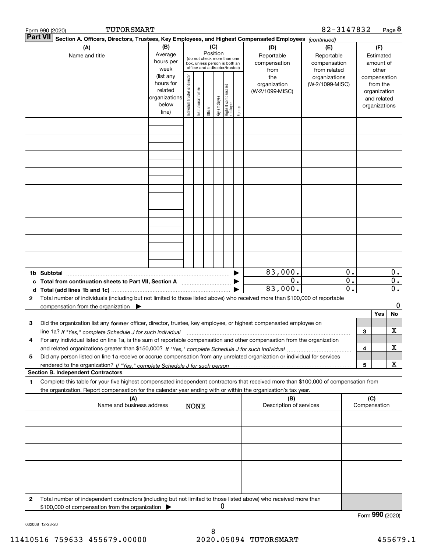|              | TUTORSMART<br>Form 990 (2020)                                                                                                                                                                                                                                        |                                                                      |                                |                       |                 |              |                                                                                                 |        |                                           | 82-3147832                                        |                                      |                     |                                                                          | Page 8                               |
|--------------|----------------------------------------------------------------------------------------------------------------------------------------------------------------------------------------------------------------------------------------------------------------------|----------------------------------------------------------------------|--------------------------------|-----------------------|-----------------|--------------|-------------------------------------------------------------------------------------------------|--------|-------------------------------------------|---------------------------------------------------|--------------------------------------|---------------------|--------------------------------------------------------------------------|--------------------------------------|
|              | Part VII<br>Section A. Officers, Directors, Trustees, Key Employees, and Highest Compensated Employees (continued)                                                                                                                                                   |                                                                      |                                |                       |                 |              |                                                                                                 |        |                                           |                                                   |                                      |                     |                                                                          |                                      |
|              | (A)<br>Name and title                                                                                                                                                                                                                                                | (B)<br>Average<br>hours per<br>week                                  |                                |                       | (C)<br>Position |              | (do not check more than one<br>box, unless person is both an<br>officer and a director/trustee) |        | (D)<br>Reportable<br>compensation<br>from | (E)<br>Reportable<br>compensation<br>from related |                                      |                     | (F)<br>Estimated<br>amount of<br>other                                   |                                      |
|              |                                                                                                                                                                                                                                                                      | (list any<br>hours for<br>related<br>organizations<br>below<br>line) | Individual trustee or director | Institutional trustee | Officer         | key employee | Highest compensated<br>employee                                                                 | Former | the<br>organization<br>(W-2/1099-MISC)    | organizations<br>(W-2/1099-MISC)                  |                                      |                     | compensation<br>from the<br>organization<br>and related<br>organizations |                                      |
|              |                                                                                                                                                                                                                                                                      |                                                                      |                                |                       |                 |              |                                                                                                 |        |                                           |                                                   |                                      |                     |                                                                          |                                      |
|              |                                                                                                                                                                                                                                                                      |                                                                      |                                |                       |                 |              |                                                                                                 |        |                                           |                                                   |                                      |                     |                                                                          |                                      |
|              |                                                                                                                                                                                                                                                                      |                                                                      |                                |                       |                 |              |                                                                                                 |        |                                           |                                                   |                                      |                     |                                                                          |                                      |
|              |                                                                                                                                                                                                                                                                      |                                                                      |                                |                       |                 |              |                                                                                                 |        |                                           |                                                   |                                      |                     |                                                                          |                                      |
|              |                                                                                                                                                                                                                                                                      |                                                                      |                                |                       |                 |              |                                                                                                 |        |                                           |                                                   |                                      |                     |                                                                          |                                      |
|              |                                                                                                                                                                                                                                                                      |                                                                      |                                |                       |                 |              |                                                                                                 |        |                                           |                                                   |                                      |                     |                                                                          |                                      |
|              | 1b Subtotal                                                                                                                                                                                                                                                          |                                                                      |                                |                       |                 |              |                                                                                                 |        | 83,000.                                   |                                                   | 0.                                   |                     |                                                                          | $0$ .                                |
|              | c Total from continuation sheets to Part VII, Section A manufactor continuum                                                                                                                                                                                         |                                                                      |                                |                       |                 |              |                                                                                                 |        | $0$ .<br>83,000.                          |                                                   | $\overline{0}$ .<br>$\overline{0}$ . |                     |                                                                          | $\overline{0}$ .<br>$\overline{0}$ . |
| 2            | Total number of individuals (including but not limited to those listed above) who received more than \$100,000 of reportable<br>compensation from the organization $\blacktriangleright$                                                                             |                                                                      |                                |                       |                 |              |                                                                                                 |        |                                           |                                                   |                                      |                     |                                                                          | 0                                    |
| з            | Did the organization list any former officer, director, trustee, key employee, or highest compensated employee on<br>line 1a? If "Yes," complete Schedule J for such individual manufactured contained and the 1a? If "Yes," complete Schedule J for such individual |                                                                      |                                |                       |                 |              |                                                                                                 |        |                                           |                                                   |                                      | 3                   | Yes                                                                      | No<br>x                              |
| 4            | For any individual listed on line 1a, is the sum of reportable compensation and other compensation from the organization                                                                                                                                             |                                                                      |                                |                       |                 |              |                                                                                                 |        |                                           |                                                   |                                      | 4                   |                                                                          | x                                    |
| 5            | Did any person listed on line 1a receive or accrue compensation from any unrelated organization or individual for services<br><b>Section B. Independent Contractors</b>                                                                                              |                                                                      |                                |                       |                 |              |                                                                                                 |        |                                           |                                                   |                                      | 5                   |                                                                          | x                                    |
| 1            | Complete this table for your five highest compensated independent contractors that received more than \$100,000 of compensation from<br>the organization. Report compensation for the calendar year ending with or within the organization's tax year.               |                                                                      |                                |                       |                 |              |                                                                                                 |        |                                           |                                                   |                                      |                     |                                                                          |                                      |
|              | (A)<br>Name and business address                                                                                                                                                                                                                                     |                                                                      |                                | <b>NONE</b>           |                 |              |                                                                                                 |        | (B)<br>Description of services            |                                                   |                                      | (C)<br>Compensation |                                                                          |                                      |
|              |                                                                                                                                                                                                                                                                      |                                                                      |                                |                       |                 |              |                                                                                                 |        |                                           |                                                   |                                      |                     |                                                                          |                                      |
|              |                                                                                                                                                                                                                                                                      |                                                                      |                                |                       |                 |              |                                                                                                 |        |                                           |                                                   |                                      |                     |                                                                          |                                      |
|              |                                                                                                                                                                                                                                                                      |                                                                      |                                |                       |                 |              |                                                                                                 |        |                                           |                                                   |                                      |                     |                                                                          |                                      |
|              |                                                                                                                                                                                                                                                                      |                                                                      |                                |                       |                 |              |                                                                                                 |        |                                           |                                                   |                                      |                     |                                                                          |                                      |
| $\mathbf{2}$ | Total number of independent contractors (including but not limited to those listed above) who received more than<br>\$100,000 of compensation from the organization                                                                                                  |                                                                      |                                |                       |                 | 0            |                                                                                                 |        |                                           |                                                   |                                      | Form 990 (2020)     |                                                                          |                                      |

032008 12-23-20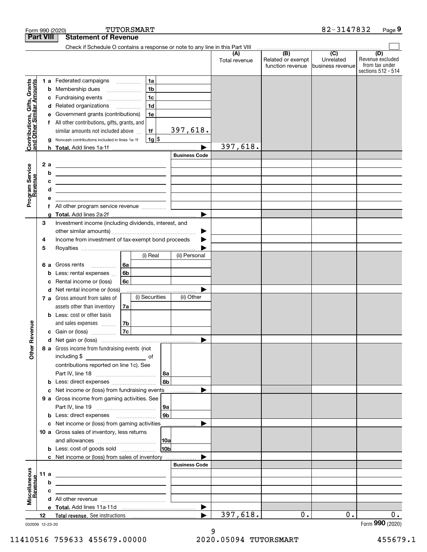|                                                           |                  |   | Form 990 (2020)                                                                                                       |    | TUTORSMART     |                 |                       |                      |                                              | 82-3147832                                        | Page 9                                                          |
|-----------------------------------------------------------|------------------|---|-----------------------------------------------------------------------------------------------------------------------|----|----------------|-----------------|-----------------------|----------------------|----------------------------------------------|---------------------------------------------------|-----------------------------------------------------------------|
|                                                           | <b>Part VIII</b> |   | <b>Statement of Revenue</b>                                                                                           |    |                |                 |                       |                      |                                              |                                                   |                                                                 |
|                                                           |                  |   | Check if Schedule O contains a response or note to any line in this Part VIII                                         |    |                |                 |                       |                      |                                              |                                                   |                                                                 |
|                                                           |                  |   |                                                                                                                       |    |                |                 |                       | (A)<br>Total revenue | (B)<br>Related or exempt<br>function revenue | $\overline{(C)}$<br>Unrelated<br>business revenue | (D)<br>Revenue excluded<br>from tax under<br>sections 512 - 514 |
|                                                           |                  |   | 1 a Federated campaigns                                                                                               |    | 1a             |                 |                       |                      |                                              |                                                   |                                                                 |
| Contributions, Gifts, Grants<br>and Other Similar Amounts |                  | b | Membership dues                                                                                                       |    | 1 <sub>b</sub> |                 |                       |                      |                                              |                                                   |                                                                 |
|                                                           |                  | с | Fundraising events                                                                                                    |    | 1 <sub>c</sub> |                 |                       |                      |                                              |                                                   |                                                                 |
|                                                           |                  | d | Related organizations                                                                                                 |    | 1 <sub>d</sub> |                 |                       |                      |                                              |                                                   |                                                                 |
|                                                           |                  | е | Government grants (contributions)                                                                                     |    | 1e             |                 |                       |                      |                                              |                                                   |                                                                 |
|                                                           |                  |   | f All other contributions, gifts, grants, and                                                                         |    |                |                 |                       |                      |                                              |                                                   |                                                                 |
|                                                           |                  |   | similar amounts not included above                                                                                    |    | 1f             |                 | 397,618.              |                      |                                              |                                                   |                                                                 |
|                                                           |                  | g | Noncash contributions included in lines 1a-1f                                                                         |    | $1g$ \$        |                 |                       |                      |                                              |                                                   |                                                                 |
|                                                           |                  |   |                                                                                                                       |    |                |                 |                       | 397,618.             |                                              |                                                   |                                                                 |
|                                                           |                  |   |                                                                                                                       |    |                |                 | <b>Business Code</b>  |                      |                                              |                                                   |                                                                 |
|                                                           | 2a               |   |                                                                                                                       |    |                |                 |                       |                      |                                              |                                                   |                                                                 |
|                                                           |                  | b | <u> 1999 - Johann Barn, amerikansk politiker (</u>                                                                    |    |                |                 |                       |                      |                                              |                                                   |                                                                 |
|                                                           |                  | c | <u> 1989 - Johann Barn, mars ann an t-Amhain an t-Amhain an t-Amhain an t-Amhain an t-Amhain an t-Amhain an t-A</u>   |    |                |                 |                       |                      |                                              |                                                   |                                                                 |
| Program Service<br>Revenue                                |                  | d | <u> 1989 - Johann Barbara, martin amerikan basar dan berasal dalam basar dalam basar dalam basar dalam basar dala</u> |    |                |                 |                       |                      |                                              |                                                   |                                                                 |
|                                                           |                  | е |                                                                                                                       |    |                |                 |                       |                      |                                              |                                                   |                                                                 |
|                                                           |                  | f | All other program service revenue                                                                                     |    |                |                 |                       |                      |                                              |                                                   |                                                                 |
|                                                           |                  | g |                                                                                                                       |    |                |                 | ▶                     |                      |                                              |                                                   |                                                                 |
|                                                           | 3                |   | Investment income (including dividends, interest, and                                                                 |    |                |                 |                       |                      |                                              |                                                   |                                                                 |
|                                                           | 4                |   | Income from investment of tax-exempt bond proceeds                                                                    |    |                |                 | ▶                     |                      |                                              |                                                   |                                                                 |
|                                                           | 5                |   |                                                                                                                       |    |                |                 |                       |                      |                                              |                                                   |                                                                 |
|                                                           |                  |   |                                                                                                                       |    | (i) Real       |                 | (ii) Personal         |                      |                                              |                                                   |                                                                 |
|                                                           | 6а               |   | Gross rents<br>.                                                                                                      | 6a |                |                 |                       |                      |                                              |                                                   |                                                                 |
|                                                           |                  | b | Less: rental expenses                                                                                                 | 6b |                |                 |                       |                      |                                              |                                                   |                                                                 |
|                                                           |                  | c | Rental income or (loss)                                                                                               | 6c |                |                 |                       |                      |                                              |                                                   |                                                                 |
|                                                           |                  | d | Net rental income or (loss)                                                                                           |    |                |                 |                       |                      |                                              |                                                   |                                                                 |
|                                                           |                  |   | 7 a Gross amount from sales of                                                                                        |    | (i) Securities |                 | (ii) Other            |                      |                                              |                                                   |                                                                 |
|                                                           |                  |   | assets other than inventory                                                                                           | 7a |                |                 |                       |                      |                                              |                                                   |                                                                 |
|                                                           |                  |   | <b>b</b> Less: cost or other basis                                                                                    |    |                |                 |                       |                      |                                              |                                                   |                                                                 |
|                                                           |                  |   | and sales expenses                                                                                                    | 7b |                |                 |                       |                      |                                              |                                                   |                                                                 |
| auneve                                                    |                  |   | c Gain or (loss)                                                                                                      | 7c |                |                 |                       |                      |                                              |                                                   |                                                                 |
|                                                           |                  |   |                                                                                                                       |    |                |                 |                       |                      |                                              |                                                   |                                                                 |
| Other R                                                   |                  |   | 8 a Gross income from fundraising events (not                                                                         |    |                |                 |                       |                      |                                              |                                                   |                                                                 |
|                                                           |                  |   | including \$<br><u> 1990 - John Barn Barn, amerikansk politiker</u>                                                   |    | of             |                 |                       |                      |                                              |                                                   |                                                                 |
|                                                           |                  |   | contributions reported on line 1c). See                                                                               |    |                |                 |                       |                      |                                              |                                                   |                                                                 |
|                                                           |                  |   |                                                                                                                       |    |                | 8a              |                       |                      |                                              |                                                   |                                                                 |
|                                                           |                  | b | Less: direct expenses                                                                                                 |    |                | 8 <sub>b</sub>  |                       |                      |                                              |                                                   |                                                                 |
|                                                           |                  | с | Net income or (loss) from fundraising events<br>9 a Gross income from gaming activities. See                          |    |                |                 |                       |                      |                                              |                                                   |                                                                 |
|                                                           |                  |   |                                                                                                                       |    |                | 9a              |                       |                      |                                              |                                                   |                                                                 |
|                                                           |                  | b |                                                                                                                       |    |                | 9 <sub>b</sub>  |                       |                      |                                              |                                                   |                                                                 |
|                                                           |                  | c | Net income or (loss) from gaming activities ______________                                                            |    |                |                 |                       |                      |                                              |                                                   |                                                                 |
|                                                           |                  |   | 10 a Gross sales of inventory, less returns                                                                           |    |                |                 |                       |                      |                                              |                                                   |                                                                 |
|                                                           |                  |   |                                                                                                                       |    |                |                 |                       |                      |                                              |                                                   |                                                                 |
|                                                           |                  |   | <b>b</b> Less: cost of goods sold                                                                                     |    |                | 10 <sub>b</sub> |                       |                      |                                              |                                                   |                                                                 |
|                                                           |                  |   | c Net income or (loss) from sales of inventory                                                                        |    |                |                 |                       |                      |                                              |                                                   |                                                                 |
|                                                           |                  |   |                                                                                                                       |    |                |                 | <b>Business Code</b>  |                      |                                              |                                                   |                                                                 |
| Miscellaneous<br>Revenue                                  | 11 a             |   |                                                                                                                       |    |                |                 |                       |                      |                                              |                                                   |                                                                 |
|                                                           |                  | b |                                                                                                                       |    |                |                 |                       |                      |                                              |                                                   |                                                                 |
|                                                           |                  | c |                                                                                                                       |    |                |                 |                       |                      |                                              |                                                   |                                                                 |
|                                                           |                  |   |                                                                                                                       |    |                |                 |                       |                      |                                              |                                                   |                                                                 |
|                                                           |                  |   |                                                                                                                       |    |                |                 | $\blacktriangleright$ |                      |                                              |                                                   |                                                                 |
|                                                           | 12               |   |                                                                                                                       |    |                |                 |                       | 397,618.             | $0$ .                                        | 0.                                                | 0.                                                              |

032009 12-23-20

Form (2020) **990**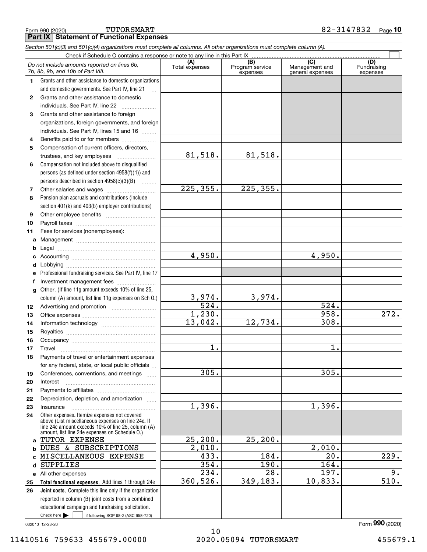|              | Do not include amounts reported on lines 6b,<br>7b, 8b, 9b, and 10b of Part VIII.                        | (A)<br>Total expenses | (B)<br>Program service<br>expenses | (C)<br>Management and<br>general expenses | (D)<br>Fundraising<br>expenses |
|--------------|----------------------------------------------------------------------------------------------------------|-----------------------|------------------------------------|-------------------------------------------|--------------------------------|
| 1            | Grants and other assistance to domestic organizations                                                    |                       |                                    |                                           |                                |
|              | and domestic governments. See Part IV, line 21                                                           |                       |                                    |                                           |                                |
| $\mathbf{2}$ | Grants and other assistance to domestic                                                                  |                       |                                    |                                           |                                |
|              | individuals. See Part IV, line 22                                                                        |                       |                                    |                                           |                                |
| 3            | Grants and other assistance to foreign                                                                   |                       |                                    |                                           |                                |
|              | organizations, foreign governments, and foreign                                                          |                       |                                    |                                           |                                |
|              | individuals. See Part IV, lines 15 and 16                                                                |                       |                                    |                                           |                                |
| 4            | Benefits paid to or for members                                                                          |                       |                                    |                                           |                                |
| 5            | Compensation of current officers, directors,                                                             |                       |                                    |                                           |                                |
|              | trustees, and key employees                                                                              | 81,518.               | 81,518.                            |                                           |                                |
| 6            | Compensation not included above to disqualified                                                          |                       |                                    |                                           |                                |
|              | persons (as defined under section $4958(f)(1)$ ) and                                                     |                       |                                    |                                           |                                |
|              |                                                                                                          |                       |                                    |                                           |                                |
|              | persons described in section 4958(c)(3)(B)                                                               | 225,355.              | 225,355.                           |                                           |                                |
| 7            |                                                                                                          |                       |                                    |                                           |                                |
| 8            | Pension plan accruals and contributions (include                                                         |                       |                                    |                                           |                                |
|              | section 401(k) and 403(b) employer contributions)                                                        |                       |                                    |                                           |                                |
| 9            |                                                                                                          |                       |                                    |                                           |                                |
| 10           |                                                                                                          |                       |                                    |                                           |                                |
| 11           | Fees for services (nonemployees):                                                                        |                       |                                    |                                           |                                |
| a            |                                                                                                          |                       |                                    |                                           |                                |
| b            |                                                                                                          |                       |                                    |                                           |                                |
| с            |                                                                                                          | 4,950.                |                                    | 4,950.                                    |                                |
| d            |                                                                                                          |                       |                                    |                                           |                                |
| е            | Professional fundraising services. See Part IV, line 17                                                  |                       |                                    |                                           |                                |
| f            | Investment management fees                                                                               |                       |                                    |                                           |                                |
| g            | Other. (If line 11g amount exceeds 10% of line 25,                                                       |                       |                                    |                                           |                                |
|              | column (A) amount, list line 11g expenses on Sch 0.)                                                     | <u>3,974.</u>         | 3,974.                             |                                           |                                |
| 12           |                                                                                                          | $\overline{524}$ .    |                                    | 524.                                      |                                |
| 13           |                                                                                                          | 1,230.                |                                    | 958.                                      | 272.                           |
| 14           |                                                                                                          | 13,042.               | 12,734.                            | 308.                                      |                                |
| 15           |                                                                                                          |                       |                                    |                                           |                                |
| 16           |                                                                                                          |                       |                                    |                                           |                                |
| 17           | Travel                                                                                                   | $\overline{1}$ .      |                                    | 1.                                        |                                |
| 18           | Payments of travel or entertainment expenses                                                             |                       |                                    |                                           |                                |
|              | for any federal, state, or local public officials                                                        |                       |                                    |                                           |                                |
| 19           | Conferences, conventions, and meetings                                                                   | 305.                  |                                    | 305.                                      |                                |
| 20           | Interest                                                                                                 |                       |                                    |                                           |                                |
| 21           |                                                                                                          |                       |                                    |                                           |                                |
| 22           | Depreciation, depletion, and amortization                                                                |                       |                                    |                                           |                                |
| 23           | Insurance                                                                                                | 1,396.                |                                    | 1,396.                                    |                                |
| 24           | Other expenses. Itemize expenses not covered                                                             |                       |                                    |                                           |                                |
|              | above (List miscellaneous expenses on line 24e. If<br>line 24e amount exceeds 10% of line 25, column (A) |                       |                                    |                                           |                                |
|              | amount, list line 24e expenses on Schedule O.)                                                           |                       |                                    |                                           |                                |
| a            | TUTOR EXPENSE                                                                                            | 25, 200.              | 25, 200.                           |                                           |                                |
| b            | DUES & SUBSCRIPTIONS                                                                                     | 2,010.                |                                    | 2,010.                                    |                                |
| c            | MISCELLANEOUS EXPENSE                                                                                    | 433.                  | 184.                               | 20.                                       | 229.                           |
| d            | <b>SUPPLIES</b>                                                                                          | 354.                  | 190.                               | 164.                                      |                                |
|              | e All other expenses                                                                                     | 234.                  | 28.                                | 197.                                      | 9.                             |
| 25           | Total functional expenses. Add lines 1 through 24e                                                       | 360, 526.             | 349, 183.                          | 10,833.                                   | 510.                           |
| 26           | <b>Joint costs.</b> Complete this line only if the organization                                          |                       |                                    |                                           |                                |
|              | reported in column (B) joint costs from a combined                                                       |                       |                                    |                                           |                                |
|              | educational campaign and fundraising solicitation.                                                       |                       |                                    |                                           |                                |
|              | Check here $\blacktriangleright$<br>if following SOP 98-2 (ASC 958-720)                                  |                       |                                    |                                           |                                |

**Part IX Statement of Functional Expenses**

*Section 501(c)(3) and 501(c)(4) organizations must complete all columns. All other organizations must complete column (A).*

Check if Schedule O contains a response or note to any line in this Part IX

 $\mathcal{L}^{\text{max}}$ 

032010 12-23-20

Form (2020) **990**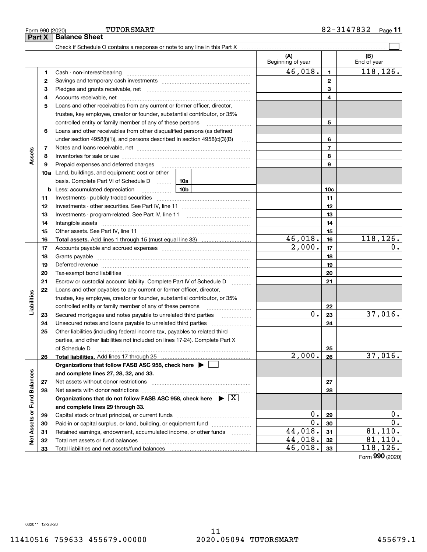11

|                             |    |                                                                                                                                                                                                                                | (A)<br>Beginning of year |                | (B)<br>End of year  |
|-----------------------------|----|--------------------------------------------------------------------------------------------------------------------------------------------------------------------------------------------------------------------------------|--------------------------|----------------|---------------------|
|                             | 1  |                                                                                                                                                                                                                                | 46,018.                  | $\mathbf{1}$   | 118,126.            |
|                             | 2  |                                                                                                                                                                                                                                |                          | $\mathbf{2}$   |                     |
|                             | 3  |                                                                                                                                                                                                                                |                          | 3              |                     |
|                             | 4  |                                                                                                                                                                                                                                |                          | 4              |                     |
|                             | 5  | Loans and other receivables from any current or former officer, director,                                                                                                                                                      |                          |                |                     |
|                             |    | trustee, key employee, creator or founder, substantial contributor, or 35%                                                                                                                                                     |                          |                |                     |
|                             |    | controlled entity or family member of any of these persons                                                                                                                                                                     |                          | 5              |                     |
|                             | 6  | Loans and other receivables from other disqualified persons (as defined                                                                                                                                                        |                          |                |                     |
|                             |    | under section $4958(f)(1)$ , and persons described in section $4958(c)(3)(B)$                                                                                                                                                  |                          | 6              |                     |
|                             | 7  |                                                                                                                                                                                                                                |                          | $\overline{7}$ |                     |
| Assets                      | 8  |                                                                                                                                                                                                                                |                          | 8              |                     |
|                             | 9  | Prepaid expenses and deferred charges                                                                                                                                                                                          |                          | 9              |                     |
|                             |    | <b>10a</b> Land, buildings, and equipment: cost or other                                                                                                                                                                       |                          |                |                     |
|                             |    | basis. Complete Part VI of Schedule D  10a                                                                                                                                                                                     |                          |                |                     |
|                             |    | 10b<br><b>b</b> Less: accumulated depreciation<br>. 1                                                                                                                                                                          |                          | 10c            |                     |
|                             | 11 |                                                                                                                                                                                                                                |                          | 11             |                     |
|                             | 12 |                                                                                                                                                                                                                                |                          | 12             |                     |
|                             | 13 |                                                                                                                                                                                                                                |                          | 13             |                     |
|                             | 14 |                                                                                                                                                                                                                                |                          | 14             |                     |
|                             | 15 |                                                                                                                                                                                                                                |                          | 15             |                     |
|                             | 16 |                                                                                                                                                                                                                                | 46,018.                  | 16             | 118, 126.           |
|                             | 17 |                                                                                                                                                                                                                                | 2,000.                   | 17             | 0.                  |
|                             | 18 |                                                                                                                                                                                                                                |                          | 18             |                     |
|                             | 19 | Deferred revenue manual contracts and contracts are all the contracts and contracts are contracted and contracts are contracted and contract are contracted and contract are contracted and contract are contracted and contra |                          | 19             |                     |
|                             | 20 |                                                                                                                                                                                                                                |                          | 20             |                     |
|                             | 21 | Escrow or custodial account liability. Complete Part IV of Schedule D                                                                                                                                                          |                          | 21             |                     |
|                             | 22 | Loans and other payables to any current or former officer, director,                                                                                                                                                           |                          |                |                     |
| Liabilities                 |    | trustee, key employee, creator or founder, substantial contributor, or 35%                                                                                                                                                     |                          |                |                     |
|                             |    | controlled entity or family member of any of these persons                                                                                                                                                                     |                          | 22             |                     |
|                             | 23 | Secured mortgages and notes payable to unrelated third parties                                                                                                                                                                 | 0.                       | 23             | 37,016.             |
|                             | 24 |                                                                                                                                                                                                                                |                          | 24             |                     |
|                             | 25 | Other liabilities (including federal income tax, payables to related third                                                                                                                                                     |                          |                |                     |
|                             |    | parties, and other liabilities not included on lines 17-24). Complete Part X                                                                                                                                                   |                          |                |                     |
|                             |    | of Schedule D                                                                                                                                                                                                                  |                          | 25             |                     |
|                             | 26 | Total liabilities. Add lines 17 through 25                                                                                                                                                                                     | $\overline{2,000}$ .     | 26             | 37,016.             |
|                             |    | Organizations that follow FASB ASC 958, check here $\blacktriangleright$                                                                                                                                                       |                          |                |                     |
|                             |    | and complete lines 27, 28, 32, and 33.                                                                                                                                                                                         |                          |                |                     |
|                             | 27 | Net assets without donor restrictions                                                                                                                                                                                          |                          | 27             |                     |
|                             | 28 |                                                                                                                                                                                                                                |                          | 28             |                     |
|                             |    | Organizations that do not follow FASB ASC 958, check here $\blacktriangleright \boxed{X}$                                                                                                                                      |                          |                |                     |
|                             |    | and complete lines 29 through 33.                                                                                                                                                                                              |                          |                |                     |
| Net Assets or Fund Balances | 29 |                                                                                                                                                                                                                                | 0.<br>$\overline{0}$ .   | 29             | $0$ .<br>0.         |
|                             | 30 | Paid-in or capital surplus, or land, building, or equipment fund                                                                                                                                                               |                          | 30             |                     |
|                             | 31 | Retained earnings, endowment, accumulated income, or other funds                                                                                                                                                               | 44,018.<br>44,018.       | 31             | 81,110.             |
|                             | 32 |                                                                                                                                                                                                                                | 46,018.                  | 32             | 81,110.<br>118,126. |
|                             | 33 |                                                                                                                                                                                                                                |                          | 33             | $000 \times 000$    |

Form (2020) **990**

11410516 759633 455679.00000 2020.05094 TUTORSMART 455679.1

# **Part X Balance Sheet**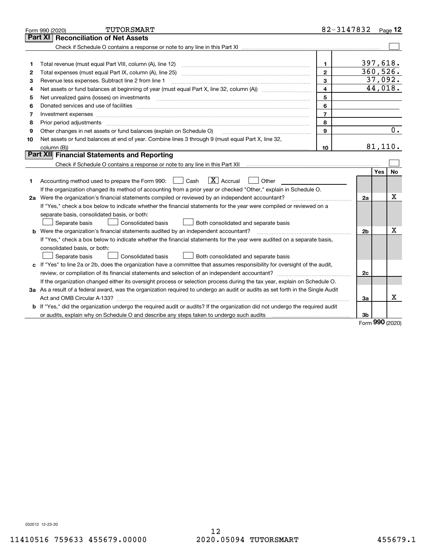| Form 990 (2020) | TUTORSMART                                                                                                                      |                | 82-3147832     |         | $Page$ 12 |
|-----------------|---------------------------------------------------------------------------------------------------------------------------------|----------------|----------------|---------|-----------|
| Part XI         | <b>Reconciliation of Net Assets</b>                                                                                             |                |                |         |           |
|                 |                                                                                                                                 |                |                |         |           |
|                 |                                                                                                                                 |                |                |         |           |
| 1               |                                                                                                                                 | $\mathbf{1}$   | 397,618.       |         |           |
| 2               |                                                                                                                                 | $\overline{2}$ | 360,526.       |         |           |
| 3               | Revenue less expenses. Subtract line 2 from line 1                                                                              | 3              |                | 37,092. |           |
| 4               |                                                                                                                                 | $\overline{4}$ |                | 44,018. |           |
| 5               |                                                                                                                                 | 5              |                |         |           |
| 6               |                                                                                                                                 | 6              |                |         |           |
| 7               | Investment expenses www.communication.com/www.communication.com/www.communication.com/www.communication.com                     | $\overline{7}$ |                |         |           |
| 8               | Prior period adjustments                                                                                                        | 8              |                |         |           |
| 9               | Other changes in net assets or fund balances (explain on Schedule O)                                                            | 9              |                |         | 0.        |
| 10              | Net assets or fund balances at end of year. Combine lines 3 through 9 (must equal Part X, line 32,                              |                |                |         |           |
|                 |                                                                                                                                 | 10             |                | 81,110. |           |
|                 | Part XII Financial Statements and Reporting                                                                                     |                |                |         |           |
|                 |                                                                                                                                 |                |                |         |           |
|                 |                                                                                                                                 |                |                | Yes     | <b>No</b> |
| 1               | $\boxed{\mathbf{X}}$ Accrual<br>Accounting method used to prepare the Form 990: <u>[</u> Cash<br>Other                          |                |                |         |           |
|                 | If the organization changed its method of accounting from a prior year or checked "Other," explain in Schedule O.               |                |                |         |           |
|                 | 2a Were the organization's financial statements compiled or reviewed by an independent accountant?                              |                | 2a             |         | Χ         |
|                 | If "Yes," check a box below to indicate whether the financial statements for the year were compiled or reviewed on a            |                |                |         |           |
|                 | separate basis, consolidated basis, or both:                                                                                    |                |                |         |           |
|                 | Separate basis<br><b>Consolidated basis</b><br>Both consolidated and separate basis                                             |                |                |         |           |
|                 | <b>b</b> Were the organization's financial statements audited by an independent accountant?                                     |                | 2 <sub>b</sub> |         | х         |
|                 | If "Yes," check a box below to indicate whether the financial statements for the year were audited on a separate basis,         |                |                |         |           |
|                 | consolidated basis, or both:                                                                                                    |                |                |         |           |
|                 | Consolidated basis<br>Separate basis<br>Both consolidated and separate basis                                                    |                |                |         |           |
|                 | c If "Yes" to line 2a or 2b, does the organization have a committee that assumes responsibility for oversight of the audit,     |                |                |         |           |
|                 |                                                                                                                                 |                | 2c             |         |           |
|                 | If the organization changed either its oversight process or selection process during the tax year, explain on Schedule O.       |                |                |         |           |
|                 | 3a As a result of a federal award, was the organization required to undergo an audit or audits as set forth in the Single Audit |                |                |         |           |
|                 |                                                                                                                                 |                | 3a             |         | x         |
|                 | b If "Yes," did the organization undergo the required audit or audits? If the organization did not undergo the required audit   |                |                |         |           |
|                 | or audits, explain why on Schedule O and describe any steps taken to undergo such audits matures and the conte                  |                | 3b             |         |           |

Form (2020) **990**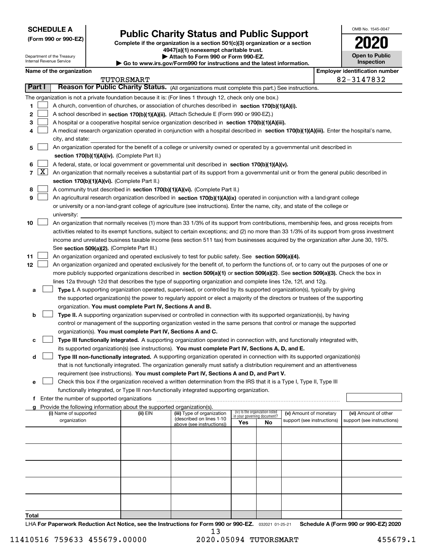| <b>SCHEDULE A</b> |  |
|-------------------|--|
|-------------------|--|

**(Form 990 or 990-EZ)**

# **Public Charity Status and Public Support**

**Complete if the organization is a section 501(c)(3) organization or a section 4947(a)(1) nonexempt charitable trust.** Attach to Form 990 or Form 9

| .                          |                       |
|----------------------------|-----------------------|
| )90-EZ.                    | <b>Open to Public</b> |
| nd the latest information. | Inspection            |

OMB No. 1545-0047

**2020**

|        | Department of the Treasury<br>Internal Revenue Service |                                                                        | Attach to Form 990 or Form 990-EZ.<br>Go to www.irs.gov/Form990 for instructions and the latest information.                                 |     |                                                                |                            | <b>Open to Public</b><br>Inspection   |
|--------|--------------------------------------------------------|------------------------------------------------------------------------|----------------------------------------------------------------------------------------------------------------------------------------------|-----|----------------------------------------------------------------|----------------------------|---------------------------------------|
|        | Name of the organization                               |                                                                        |                                                                                                                                              |     |                                                                |                            | <b>Employer identification number</b> |
|        |                                                        | TUTORSMART                                                             |                                                                                                                                              |     |                                                                |                            | 82-3147832                            |
| Part I |                                                        |                                                                        | Reason for Public Charity Status. (All organizations must complete this part.) See instructions.                                             |     |                                                                |                            |                                       |
|        |                                                        |                                                                        | The organization is not a private foundation because it is: (For lines 1 through 12, check only one box.)                                    |     |                                                                |                            |                                       |
| 1      |                                                        |                                                                        | A church, convention of churches, or association of churches described in section 170(b)(1)(A)(i).                                           |     |                                                                |                            |                                       |
| 2      |                                                        |                                                                        | A school described in section 170(b)(1)(A)(ii). (Attach Schedule E (Form 990 or 990-EZ).)                                                    |     |                                                                |                            |                                       |
| з      |                                                        |                                                                        | A hospital or a cooperative hospital service organization described in section 170(b)(1)(A)(iii).                                            |     |                                                                |                            |                                       |
| 4      |                                                        |                                                                        | A medical research organization operated in conjunction with a hospital described in section 170(b)(1)(A)(iii). Enter the hospital's name,   |     |                                                                |                            |                                       |
|        | city, and state:                                       |                                                                        |                                                                                                                                              |     |                                                                |                            |                                       |
| 5      |                                                        |                                                                        | An organization operated for the benefit of a college or university owned or operated by a governmental unit described in                    |     |                                                                |                            |                                       |
|        |                                                        | section 170(b)(1)(A)(iv). (Complete Part II.)                          |                                                                                                                                              |     |                                                                |                            |                                       |
| 6      |                                                        |                                                                        | A federal, state, or local government or governmental unit described in section 170(b)(1)(A)(v).                                             |     |                                                                |                            |                                       |
| 7   X  |                                                        |                                                                        | An organization that normally receives a substantial part of its support from a governmental unit or from the general public described in    |     |                                                                |                            |                                       |
|        |                                                        | section 170(b)(1)(A)(vi). (Complete Part II.)                          |                                                                                                                                              |     |                                                                |                            |                                       |
| 8      |                                                        |                                                                        | A community trust described in section 170(b)(1)(A)(vi). (Complete Part II.)                                                                 |     |                                                                |                            |                                       |
| 9      |                                                        |                                                                        | An agricultural research organization described in section 170(b)(1)(A)(ix) operated in conjunction with a land-grant college                |     |                                                                |                            |                                       |
|        |                                                        |                                                                        | or university or a non-land-grant college of agriculture (see instructions). Enter the name, city, and state of the college or               |     |                                                                |                            |                                       |
|        | university:                                            |                                                                        |                                                                                                                                              |     |                                                                |                            |                                       |
| 10     |                                                        |                                                                        | An organization that normally receives (1) more than 33 1/3% of its support from contributions, membership fees, and gross receipts from     |     |                                                                |                            |                                       |
|        |                                                        |                                                                        | activities related to its exempt functions, subject to certain exceptions; and (2) no more than 33 1/3% of its support from gross investment |     |                                                                |                            |                                       |
|        |                                                        |                                                                        | income and unrelated business taxable income (less section 511 tax) from businesses acquired by the organization after June 30, 1975.        |     |                                                                |                            |                                       |
|        |                                                        | See section 509(a)(2). (Complete Part III.)                            |                                                                                                                                              |     |                                                                |                            |                                       |
| 11     |                                                        |                                                                        | An organization organized and operated exclusively to test for public safety. See section 509(a)(4).                                         |     |                                                                |                            |                                       |
| 12     |                                                        |                                                                        | An organization organized and operated exclusively for the benefit of, to perform the functions of, or to carry out the purposes of one or   |     |                                                                |                            |                                       |
|        |                                                        |                                                                        | more publicly supported organizations described in section 509(a)(1) or section 509(a)(2). See section 509(a)(3). Check the box in           |     |                                                                |                            |                                       |
|        |                                                        |                                                                        | lines 12a through 12d that describes the type of supporting organization and complete lines 12e, 12f, and 12g.                               |     |                                                                |                            |                                       |
| а      |                                                        |                                                                        | Type I. A supporting organization operated, supervised, or controlled by its supported organization(s), typically by giving                  |     |                                                                |                            |                                       |
|        |                                                        |                                                                        | the supported organization(s) the power to regularly appoint or elect a majority of the directors or trustees of the supporting              |     |                                                                |                            |                                       |
|        |                                                        | organization. You must complete Part IV, Sections A and B.             |                                                                                                                                              |     |                                                                |                            |                                       |
| b      |                                                        |                                                                        | Type II. A supporting organization supervised or controlled in connection with its supported organization(s), by having                      |     |                                                                |                            |                                       |
|        |                                                        |                                                                        | control or management of the supporting organization vested in the same persons that control or manage the supported                         |     |                                                                |                            |                                       |
|        |                                                        | organization(s). You must complete Part IV, Sections A and C.          |                                                                                                                                              |     |                                                                |                            |                                       |
| с      |                                                        |                                                                        | Type III functionally integrated. A supporting organization operated in connection with, and functionally integrated with,                   |     |                                                                |                            |                                       |
|        |                                                        |                                                                        | its supported organization(s) (see instructions). You must complete Part IV, Sections A, D, and E.                                           |     |                                                                |                            |                                       |
| d      |                                                        |                                                                        | Type III non-functionally integrated. A supporting organization operated in connection with its supported organization(s)                    |     |                                                                |                            |                                       |
|        |                                                        |                                                                        | that is not functionally integrated. The organization generally must satisfy a distribution requirement and an attentiveness                 |     |                                                                |                            |                                       |
|        |                                                        |                                                                        | requirement (see instructions). You must complete Part IV, Sections A and D, and Part V.                                                     |     |                                                                |                            |                                       |
| е      |                                                        |                                                                        | Check this box if the organization received a written determination from the IRS that it is a Type I, Type II, Type III                      |     |                                                                |                            |                                       |
|        |                                                        |                                                                        | functionally integrated, or Type III non-functionally integrated supporting organization.                                                    |     |                                                                |                            |                                       |
|        | f Enter the number of supported organizations          |                                                                        |                                                                                                                                              |     |                                                                |                            |                                       |
| a      |                                                        | Provide the following information about the supported organization(s). |                                                                                                                                              |     |                                                                |                            |                                       |
|        | (i) Name of supported                                  | (ii) EIN                                                               | (iii) Type of organization                                                                                                                   |     | (iv) Is the organization listed<br>in your governing document? | (v) Amount of monetary     | (vi) Amount of other                  |
|        | organization                                           |                                                                        | (described on lines 1-10<br>above (see instructions))                                                                                        | Yes | No                                                             | support (see instructions) | support (see instructions)            |
|        |                                                        |                                                                        |                                                                                                                                              |     |                                                                |                            |                                       |
|        |                                                        |                                                                        |                                                                                                                                              |     |                                                                |                            |                                       |
|        |                                                        |                                                                        |                                                                                                                                              |     |                                                                |                            |                                       |
|        |                                                        |                                                                        |                                                                                                                                              |     |                                                                |                            |                                       |
|        |                                                        |                                                                        |                                                                                                                                              |     |                                                                |                            |                                       |
|        |                                                        |                                                                        |                                                                                                                                              |     |                                                                |                            |                                       |
|        |                                                        |                                                                        |                                                                                                                                              |     |                                                                |                            |                                       |
|        |                                                        |                                                                        |                                                                                                                                              |     |                                                                |                            |                                       |
|        |                                                        |                                                                        |                                                                                                                                              |     |                                                                |                            |                                       |
|        |                                                        |                                                                        |                                                                                                                                              |     |                                                                |                            |                                       |
|        |                                                        |                                                                        |                                                                                                                                              |     |                                                                |                            |                                       |

**Total**

LHA For Paperwork Reduction Act Notice, see the Instructions for Form 990 or 990-EZ. <sub>032021</sub> o1-25-21 Schedule A (Form 990 or 990-EZ) 2020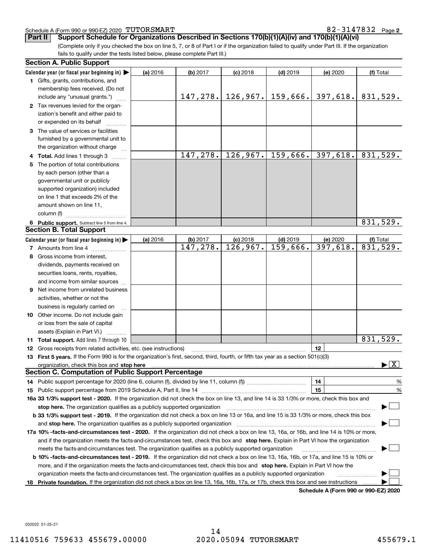#### Schedule A (Form 990 or 990-EZ) 2020 Page TUTORSMART 82-3147832

(Complete only if you checked the box on line 5, 7, or 8 of Part I or if the organization failed to qualify under Part III. If the organization **Part II** Support Schedule for Organizations Described in Sections 170(b)(1)(A)(iv) and 170(b)(1)(A)(vi)

fails to qualify under the tests listed below, please complete Part III.)

|    | <b>Section A. Public Support</b>                                                                                                                                                                                               |          |          |            |                      |                                      |                                          |
|----|--------------------------------------------------------------------------------------------------------------------------------------------------------------------------------------------------------------------------------|----------|----------|------------|----------------------|--------------------------------------|------------------------------------------|
|    | Calendar year (or fiscal year beginning in) $\blacktriangleright$                                                                                                                                                              | (a) 2016 | (b) 2017 | $(c)$ 2018 | $(d)$ 2019           | (e) 2020                             | (f) Total                                |
|    | 1 Gifts, grants, contributions, and                                                                                                                                                                                            |          |          |            |                      |                                      |                                          |
|    | membership fees received. (Do not                                                                                                                                                                                              |          |          |            |                      |                                      |                                          |
|    | include any "unusual grants.")                                                                                                                                                                                                 |          | 147,278. |            | $126, 967.$ 159,666. | 397,618.                             | 831,529.                                 |
|    | 2 Tax revenues levied for the organ-                                                                                                                                                                                           |          |          |            |                      |                                      |                                          |
|    | ization's benefit and either paid to                                                                                                                                                                                           |          |          |            |                      |                                      |                                          |
|    | or expended on its behalf                                                                                                                                                                                                      |          |          |            |                      |                                      |                                          |
|    | 3 The value of services or facilities                                                                                                                                                                                          |          |          |            |                      |                                      |                                          |
|    | furnished by a governmental unit to                                                                                                                                                                                            |          |          |            |                      |                                      |                                          |
|    | the organization without charge                                                                                                                                                                                                |          |          |            |                      |                                      |                                          |
|    | 4 Total. Add lines 1 through 3                                                                                                                                                                                                 |          | 147,278. |            | $126,967.$ 159,666.  | 397, 618.                            | 831,529.                                 |
| 5. | The portion of total contributions                                                                                                                                                                                             |          |          |            |                      |                                      |                                          |
|    | by each person (other than a                                                                                                                                                                                                   |          |          |            |                      |                                      |                                          |
|    | governmental unit or publicly                                                                                                                                                                                                  |          |          |            |                      |                                      |                                          |
|    | supported organization) included                                                                                                                                                                                               |          |          |            |                      |                                      |                                          |
|    | on line 1 that exceeds 2% of the                                                                                                                                                                                               |          |          |            |                      |                                      |                                          |
|    | amount shown on line 11,                                                                                                                                                                                                       |          |          |            |                      |                                      |                                          |
|    | column (f)                                                                                                                                                                                                                     |          |          |            |                      |                                      |                                          |
|    | 6 Public support. Subtract line 5 from line 4.                                                                                                                                                                                 |          |          |            |                      |                                      | 831,529.                                 |
|    | <b>Section B. Total Support</b>                                                                                                                                                                                                |          |          |            |                      |                                      |                                          |
|    | Calendar year (or fiscal year beginning in)                                                                                                                                                                                    | (a) 2016 | (b) 2017 | $(c)$ 2018 | $(d)$ 2019           | (e) 2020                             | (f) Total                                |
|    | 7 Amounts from line 4                                                                                                                                                                                                          |          | 147,278. | 126,967.   | 159,666.             | 397,618.                             | 831,529.                                 |
| 8  | Gross income from interest.                                                                                                                                                                                                    |          |          |            |                      |                                      |                                          |
|    | dividends, payments received on                                                                                                                                                                                                |          |          |            |                      |                                      |                                          |
|    | securities loans, rents, royalties,                                                                                                                                                                                            |          |          |            |                      |                                      |                                          |
|    | and income from similar sources                                                                                                                                                                                                |          |          |            |                      |                                      |                                          |
| 9  | Net income from unrelated business                                                                                                                                                                                             |          |          |            |                      |                                      |                                          |
|    | activities, whether or not the                                                                                                                                                                                                 |          |          |            |                      |                                      |                                          |
|    | business is regularly carried on                                                                                                                                                                                               |          |          |            |                      |                                      |                                          |
|    | <b>10</b> Other income. Do not include gain                                                                                                                                                                                    |          |          |            |                      |                                      |                                          |
|    | or loss from the sale of capital                                                                                                                                                                                               |          |          |            |                      |                                      |                                          |
|    | assets (Explain in Part VI.)                                                                                                                                                                                                   |          |          |            |                      |                                      |                                          |
|    | 11 Total support. Add lines 7 through 10                                                                                                                                                                                       |          |          |            |                      |                                      | 831,529.                                 |
|    | <b>12</b> Gross receipts from related activities, etc. (see instructions)                                                                                                                                                      |          |          |            |                      | 12                                   |                                          |
|    | 13 First 5 years. If the Form 990 is for the organization's first, second, third, fourth, or fifth tax year as a section 501(c)(3)                                                                                             |          |          |            |                      |                                      |                                          |
|    | organization, check this box and stop here manufactured and content to the state of the state of the state of the state of the state of the state of the state of the state of the state of the state of the state of the stat |          |          |            |                      |                                      | $\blacktriangleright$ $\boxed{\text{X}}$ |
|    | <b>Section C. Computation of Public Support Percentage</b>                                                                                                                                                                     |          |          |            |                      |                                      |                                          |
|    |                                                                                                                                                                                                                                |          |          |            |                      | 14                                   | $\frac{9}{6}$                            |
|    |                                                                                                                                                                                                                                |          |          |            |                      | 15                                   | %                                        |
|    | 16a 33 1/3% support test - 2020. If the organization did not check the box on line 13, and line 14 is 33 1/3% or more, check this box and                                                                                      |          |          |            |                      |                                      |                                          |
|    | stop here. The organization qualifies as a publicly supported organization                                                                                                                                                     |          |          |            |                      |                                      |                                          |
|    | b 33 1/3% support test - 2019. If the organization did not check a box on line 13 or 16a, and line 15 is 33 1/3% or more, check this box                                                                                       |          |          |            |                      |                                      |                                          |
|    | and stop here. The organization qualifies as a publicly supported organization                                                                                                                                                 |          |          |            |                      |                                      |                                          |
|    | 17a 10% -facts-and-circumstances test - 2020. If the organization did not check a box on line 13, 16a, or 16b, and line 14 is 10% or more,                                                                                     |          |          |            |                      |                                      |                                          |
|    | and if the organization meets the facts-and-circumstances test, check this box and stop here. Explain in Part VI how the organization                                                                                          |          |          |            |                      |                                      |                                          |
|    | meets the facts-and-circumstances test. The organization qualifies as a publicly supported organization                                                                                                                        |          |          |            |                      |                                      |                                          |
|    | <b>b 10% -facts-and-circumstances test - 2019.</b> If the organization did not check a box on line 13, 16a, 16b, or 17a, and line 15 is 10% or                                                                                 |          |          |            |                      |                                      |                                          |
|    | more, and if the organization meets the facts-and-circumstances test, check this box and stop here. Explain in Part VI how the                                                                                                 |          |          |            |                      |                                      |                                          |
|    | organization meets the facts-and-circumstances test. The organization qualifies as a publicly supported organization                                                                                                           |          |          |            |                      |                                      |                                          |
|    | 18 Private foundation. If the organization did not check a box on line 13, 16a, 16b, 17a, or 17b, check this box and see instructions                                                                                          |          |          |            |                      |                                      |                                          |
|    |                                                                                                                                                                                                                                |          |          |            |                      | Schedule A (Form 990 or 990-F7) 2020 |                                          |

**Schedule A (Form 990 or 990-EZ) 2020**

032022 01-25-21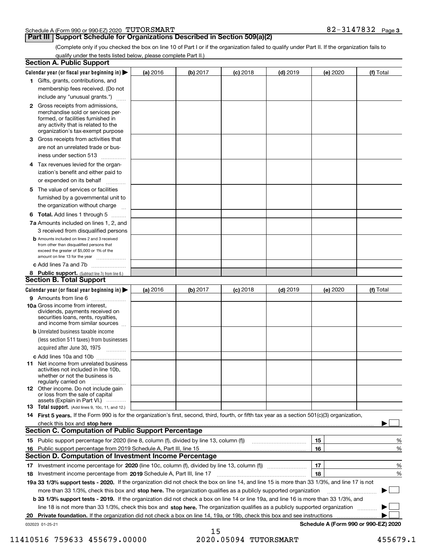|  | Schedule A (Form 990 or 990-EZ) 2020 TUTORSMART | 3147832 | Page 3 |
|--|-------------------------------------------------|---------|--------|
|  |                                                 |         |        |

## **Part III | Support Schedule for Organizations Described in Section 509(a)(2)**

(Complete only if you checked the box on line 10 of Part I or if the organization failed to qualify under Part II. If the organization fails to qualify under the tests listed below, please complete Part II.)

|    | <b>Section A. Public Support</b>                                                                                                                                                                |          |          |                 |            |                                      |           |
|----|-------------------------------------------------------------------------------------------------------------------------------------------------------------------------------------------------|----------|----------|-----------------|------------|--------------------------------------|-----------|
|    | Calendar year (or fiscal year beginning in) $\blacktriangleright$                                                                                                                               | (a) 2016 | (b) 2017 | <b>(c)</b> 2018 | $(d)$ 2019 | (e) 2020                             | (f) Total |
|    | 1 Gifts, grants, contributions, and                                                                                                                                                             |          |          |                 |            |                                      |           |
|    | membership fees received. (Do not                                                                                                                                                               |          |          |                 |            |                                      |           |
|    | include any "unusual grants.")                                                                                                                                                                  |          |          |                 |            |                                      |           |
|    | <b>2</b> Gross receipts from admissions,<br>merchandise sold or services per-<br>formed, or facilities furnished in<br>any activity that is related to the<br>organization's tax-exempt purpose |          |          |                 |            |                                      |           |
|    | 3 Gross receipts from activities that<br>are not an unrelated trade or bus-                                                                                                                     |          |          |                 |            |                                      |           |
|    | iness under section 513                                                                                                                                                                         |          |          |                 |            |                                      |           |
|    | 4 Tax revenues levied for the organ-<br>ization's benefit and either paid to<br>or expended on its behalf<br>.                                                                                  |          |          |                 |            |                                      |           |
|    | 5 The value of services or facilities<br>furnished by a governmental unit to                                                                                                                    |          |          |                 |            |                                      |           |
|    | the organization without charge                                                                                                                                                                 |          |          |                 |            |                                      |           |
|    | <b>6 Total.</b> Add lines 1 through 5 $\dots$<br>7a Amounts included on lines 1, 2, and                                                                                                         |          |          |                 |            |                                      |           |
|    | 3 received from disqualified persons                                                                                                                                                            |          |          |                 |            |                                      |           |
|    | <b>b</b> Amounts included on lines 2 and 3 received<br>from other than disqualified persons that<br>exceed the greater of \$5,000 or 1% of the<br>amount on line 13 for the year                |          |          |                 |            |                                      |           |
|    | c Add lines 7a and 7b                                                                                                                                                                           |          |          |                 |            |                                      |           |
|    | 8 Public support. (Subtract line 7c from line 6.)                                                                                                                                               |          |          |                 |            |                                      |           |
|    | <b>Section B. Total Support</b>                                                                                                                                                                 |          |          |                 |            |                                      |           |
|    | Calendar year (or fiscal year beginning in)                                                                                                                                                     | (a) 2016 | (b) 2017 | <b>(c)</b> 2018 | $(d)$ 2019 | (e) 2020                             | (f) Total |
|    | 9 Amounts from line 6                                                                                                                                                                           |          |          |                 |            |                                      |           |
|    | 10a Gross income from interest,<br>dividends, payments received on<br>securities loans, rents, royalties,<br>and income from similar sources                                                    |          |          |                 |            |                                      |           |
|    | <b>b</b> Unrelated business taxable income                                                                                                                                                      |          |          |                 |            |                                      |           |
|    | (less section 511 taxes) from businesses                                                                                                                                                        |          |          |                 |            |                                      |           |
|    | acquired after June 30, 1975 [10001]                                                                                                                                                            |          |          |                 |            |                                      |           |
|    | c Add lines 10a and 10b<br>11 Net income from unrelated business<br>activities not included in line 10b,<br>whether or not the business is<br>regularly carried on                              |          |          |                 |            |                                      |           |
|    | <b>12</b> Other income. Do not include gain<br>or loss from the sale of capital<br>assets (Explain in Part VI.)                                                                                 |          |          |                 |            |                                      |           |
|    | 13 Total support. (Add lines 9, 10c, 11, and 12.)                                                                                                                                               |          |          |                 |            |                                      |           |
|    | 14 First 5 years. If the Form 990 is for the organization's first, second, third, fourth, or fifth tax year as a section 501(c)(3) organization,                                                |          |          |                 |            |                                      |           |
|    | check this box and stop here measurements and the state of the state of the state of the state of the state of                                                                                  |          |          |                 |            |                                      |           |
|    | <b>Section C. Computation of Public Support Percentage</b>                                                                                                                                      |          |          |                 |            |                                      |           |
|    |                                                                                                                                                                                                 |          |          |                 |            | 15                                   | %         |
| 16 | Public support percentage from 2019 Schedule A, Part III, line 15                                                                                                                               |          |          |                 |            | 16                                   | %         |
|    | <b>Section D. Computation of Investment Income Percentage</b>                                                                                                                                   |          |          |                 |            |                                      |           |
|    | 17 Investment income percentage for 2020 (line 10c, column (f), divided by line 13, column (f))                                                                                                 |          |          |                 |            | 17                                   | %         |
|    | 18 Investment income percentage from 2019 Schedule A, Part III, line 17                                                                                                                         |          |          |                 |            | 18                                   | %         |
|    | 19a 33 1/3% support tests - 2020. If the organization did not check the box on line 14, and line 15 is more than 33 1/3%, and line 17 is not                                                    |          |          |                 |            |                                      |           |
|    | more than 33 1/3%, check this box and stop here. The organization qualifies as a publicly supported organization                                                                                |          |          |                 |            |                                      | $\sim$ 1  |
|    | b 33 1/3% support tests - 2019. If the organization did not check a box on line 14 or line 19a, and line 16 is more than 33 1/3%, and                                                           |          |          |                 |            |                                      |           |
|    | line 18 is not more than 33 1/3%, check this box and stop here. The organization qualifies as a publicly supported organization                                                                 |          |          |                 |            |                                      |           |
| 20 | Private foundation. If the organization did not check a box on line 14, 19a, or 19b, check this box and see instructions                                                                        |          |          |                 |            |                                      |           |
|    | 032023 01-25-21                                                                                                                                                                                 |          |          |                 |            | Schedule A (Form 990 or 990-EZ) 2020 |           |

<sup>15</sup>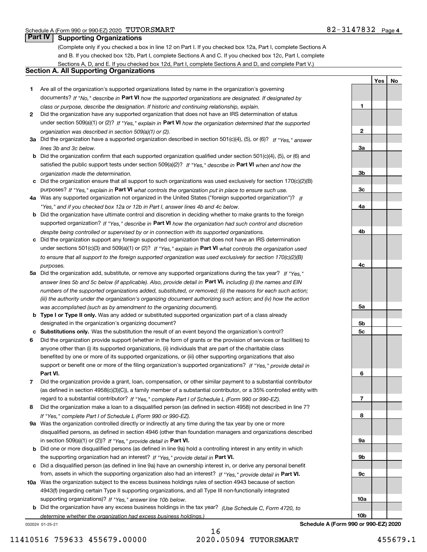**1**

**2**

**3a**

**3b**

**3c**

**4a**

**4b**

**4c**

**5a**

**5b5c**

**6**

**7**

**8**

**9a**

**9b**

**9c**

**10a**

**10b**

**YesNo**

# **Part IV Supporting Organizations**

(Complete only if you checked a box in line 12 on Part I. If you checked box 12a, Part I, complete Sections A and B. If you checked box 12b, Part I, complete Sections A and C. If you checked box 12c, Part I, complete Sections A, D, and E. If you checked box 12d, Part I, complete Sections A and D, and complete Part V.)

## **Section A. All Supporting Organizations**

- **1** Are all of the organization's supported organizations listed by name in the organization's governing documents? If "No," describe in **Part VI** how the supported organizations are designated. If designated by *class or purpose, describe the designation. If historic and continuing relationship, explain.*
- **2** Did the organization have any supported organization that does not have an IRS determination of status under section 509(a)(1) or (2)? If "Yes," explain in Part VI how the organization determined that the supported *organization was described in section 509(a)(1) or (2).*
- **3a** Did the organization have a supported organization described in section 501(c)(4), (5), or (6)? If "Yes," answer *lines 3b and 3c below.*
- **b** Did the organization confirm that each supported organization qualified under section 501(c)(4), (5), or (6) and satisfied the public support tests under section 509(a)(2)? If "Yes," describe in **Part VI** when and how the *organization made the determination.*
- **c**Did the organization ensure that all support to such organizations was used exclusively for section 170(c)(2)(B) purposes? If "Yes," explain in **Part VI** what controls the organization put in place to ensure such use.
- **4a***If* Was any supported organization not organized in the United States ("foreign supported organization")? *"Yes," and if you checked box 12a or 12b in Part I, answer lines 4b and 4c below.*
- **b** Did the organization have ultimate control and discretion in deciding whether to make grants to the foreign supported organization? If "Yes," describe in **Part VI** how the organization had such control and discretion *despite being controlled or supervised by or in connection with its supported organizations.*
- **c** Did the organization support any foreign supported organization that does not have an IRS determination under sections 501(c)(3) and 509(a)(1) or (2)? If "Yes," explain in **Part VI** what controls the organization used *to ensure that all support to the foreign supported organization was used exclusively for section 170(c)(2)(B) purposes.*
- **5a** Did the organization add, substitute, or remove any supported organizations during the tax year? If "Yes," answer lines 5b and 5c below (if applicable). Also, provide detail in **Part VI,** including (i) the names and EIN *numbers of the supported organizations added, substituted, or removed; (ii) the reasons for each such action; (iii) the authority under the organization's organizing document authorizing such action; and (iv) how the action was accomplished (such as by amendment to the organizing document).*
- **b** Type I or Type II only. Was any added or substituted supported organization part of a class already designated in the organization's organizing document?
- **cSubstitutions only.**  Was the substitution the result of an event beyond the organization's control?
- **6** Did the organization provide support (whether in the form of grants or the provision of services or facilities) to **Part VI.** *If "Yes," provide detail in* support or benefit one or more of the filing organization's supported organizations? anyone other than (i) its supported organizations, (ii) individuals that are part of the charitable class benefited by one or more of its supported organizations, or (iii) other supporting organizations that also
- **7**Did the organization provide a grant, loan, compensation, or other similar payment to a substantial contributor *If "Yes," complete Part I of Schedule L (Form 990 or 990-EZ).* regard to a substantial contributor? (as defined in section 4958(c)(3)(C)), a family member of a substantial contributor, or a 35% controlled entity with
- **8** Did the organization make a loan to a disqualified person (as defined in section 4958) not described in line 7? *If "Yes," complete Part I of Schedule L (Form 990 or 990-EZ).*
- **9a** Was the organization controlled directly or indirectly at any time during the tax year by one or more in section 509(a)(1) or (2))? If "Yes," *provide detail in* <code>Part VI.</code> disqualified persons, as defined in section 4946 (other than foundation managers and organizations described
- **b** Did one or more disqualified persons (as defined in line 9a) hold a controlling interest in any entity in which the supporting organization had an interest? If "Yes," provide detail in P**art VI**.
- **c**Did a disqualified person (as defined in line 9a) have an ownership interest in, or derive any personal benefit from, assets in which the supporting organization also had an interest? If "Yes," provide detail in P**art VI.**
- **10a** Was the organization subject to the excess business holdings rules of section 4943 because of section supporting organizations)? If "Yes," answer line 10b below. 4943(f) (regarding certain Type II supporting organizations, and all Type III non-functionally integrated
- **b** Did the organization have any excess business holdings in the tax year? (Use Schedule C, Form 4720, to *determine whether the organization had excess business holdings.)*

032024 01-25-21



**Schedule A (Form 990 or 990-EZ) 2020**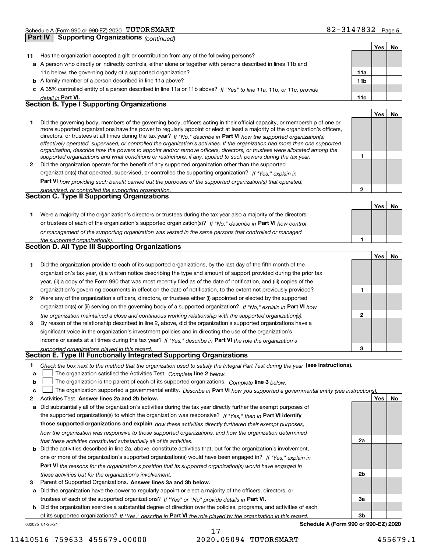| 11<br>c<br>1 | Has the organization accepted a gift or contribution from any of the following persons?<br>a A person who directly or indirectly controls, either alone or together with persons described in lines 11b and<br>11c below, the governing body of a supported organization?<br><b>b</b> A family member of a person described in line 11a above?<br>A 35% controlled entity of a person described in line 11a or 11b above? If "Yes" to line 11a, 11b, or 11c, provide<br>detail in Part VI.<br><b>Section B. Type I Supporting Organizations</b><br>Did the governing body, members of the governing body, officers acting in their official capacity, or membership of one or | 11a<br>11b<br>11c | Yes | No |
|--------------|-------------------------------------------------------------------------------------------------------------------------------------------------------------------------------------------------------------------------------------------------------------------------------------------------------------------------------------------------------------------------------------------------------------------------------------------------------------------------------------------------------------------------------------------------------------------------------------------------------------------------------------------------------------------------------|-------------------|-----|----|
|              |                                                                                                                                                                                                                                                                                                                                                                                                                                                                                                                                                                                                                                                                               |                   |     |    |
|              |                                                                                                                                                                                                                                                                                                                                                                                                                                                                                                                                                                                                                                                                               |                   |     |    |
|              |                                                                                                                                                                                                                                                                                                                                                                                                                                                                                                                                                                                                                                                                               |                   |     |    |
|              |                                                                                                                                                                                                                                                                                                                                                                                                                                                                                                                                                                                                                                                                               |                   |     |    |
|              |                                                                                                                                                                                                                                                                                                                                                                                                                                                                                                                                                                                                                                                                               |                   |     |    |
|              |                                                                                                                                                                                                                                                                                                                                                                                                                                                                                                                                                                                                                                                                               |                   |     |    |
|              |                                                                                                                                                                                                                                                                                                                                                                                                                                                                                                                                                                                                                                                                               |                   |     |    |
|              |                                                                                                                                                                                                                                                                                                                                                                                                                                                                                                                                                                                                                                                                               |                   | Yes | No |
|              |                                                                                                                                                                                                                                                                                                                                                                                                                                                                                                                                                                                                                                                                               |                   |     |    |
|              | more supported organizations have the power to regularly appoint or elect at least a majority of the organization's officers,<br>directors, or trustees at all times during the tax year? If "No," describe in Part VI how the supported organization(s)<br>effectively operated, supervised, or controlled the organization's activities. If the organization had more than one supported                                                                                                                                                                                                                                                                                    |                   |     |    |
|              | organization, describe how the powers to appoint and/or remove officers, directors, or trustees were allocated among the                                                                                                                                                                                                                                                                                                                                                                                                                                                                                                                                                      |                   |     |    |
|              | supported organizations and what conditions or restrictions, if any, applied to such powers during the tax year.                                                                                                                                                                                                                                                                                                                                                                                                                                                                                                                                                              | 1                 |     |    |
| 2            | Did the organization operate for the benefit of any supported organization other than the supported                                                                                                                                                                                                                                                                                                                                                                                                                                                                                                                                                                           |                   |     |    |
|              | organization(s) that operated, supervised, or controlled the supporting organization? If "Yes," explain in                                                                                                                                                                                                                                                                                                                                                                                                                                                                                                                                                                    |                   |     |    |
|              | Part VI how providing such benefit carried out the purposes of the supported organization(s) that operated,                                                                                                                                                                                                                                                                                                                                                                                                                                                                                                                                                                   |                   |     |    |
|              | supervised, or controlled the supporting organization.                                                                                                                                                                                                                                                                                                                                                                                                                                                                                                                                                                                                                        | $\mathbf{2}$      |     |    |
|              | <b>Section C. Type II Supporting Organizations</b>                                                                                                                                                                                                                                                                                                                                                                                                                                                                                                                                                                                                                            |                   |     |    |
|              |                                                                                                                                                                                                                                                                                                                                                                                                                                                                                                                                                                                                                                                                               |                   | Yes | No |
| 1.           | Were a majority of the organization's directors or trustees during the tax year also a majority of the directors                                                                                                                                                                                                                                                                                                                                                                                                                                                                                                                                                              |                   |     |    |
|              | or trustees of each of the organization's supported organization(s)? If "No," describe in Part VI how control                                                                                                                                                                                                                                                                                                                                                                                                                                                                                                                                                                 |                   |     |    |
|              | or management of the supporting organization was vested in the same persons that controlled or managed                                                                                                                                                                                                                                                                                                                                                                                                                                                                                                                                                                        |                   |     |    |
|              | the supported organization(s).<br>Section D. All Type III Supporting Organizations                                                                                                                                                                                                                                                                                                                                                                                                                                                                                                                                                                                            | 1                 |     |    |
|              |                                                                                                                                                                                                                                                                                                                                                                                                                                                                                                                                                                                                                                                                               |                   |     |    |
|              |                                                                                                                                                                                                                                                                                                                                                                                                                                                                                                                                                                                                                                                                               |                   | Yes | No |
| 1            | Did the organization provide to each of its supported organizations, by the last day of the fifth month of the                                                                                                                                                                                                                                                                                                                                                                                                                                                                                                                                                                |                   |     |    |
|              | organization's tax year, (i) a written notice describing the type and amount of support provided during the prior tax                                                                                                                                                                                                                                                                                                                                                                                                                                                                                                                                                         |                   |     |    |
|              | year, (ii) a copy of the Form 990 that was most recently filed as of the date of notification, and (iii) copies of the                                                                                                                                                                                                                                                                                                                                                                                                                                                                                                                                                        |                   |     |    |
|              | organization's governing documents in effect on the date of notification, to the extent not previously provided?                                                                                                                                                                                                                                                                                                                                                                                                                                                                                                                                                              | 1                 |     |    |
| 2            | Were any of the organization's officers, directors, or trustees either (i) appointed or elected by the supported                                                                                                                                                                                                                                                                                                                                                                                                                                                                                                                                                              |                   |     |    |
|              | organization(s) or (ii) serving on the governing body of a supported organization? If "No," explain in Part VI how                                                                                                                                                                                                                                                                                                                                                                                                                                                                                                                                                            |                   |     |    |
|              | the organization maintained a close and continuous working relationship with the supported organization(s).                                                                                                                                                                                                                                                                                                                                                                                                                                                                                                                                                                   | 2                 |     |    |
|              |                                                                                                                                                                                                                                                                                                                                                                                                                                                                                                                                                                                                                                                                               |                   |     |    |
| 3            | By reason of the relationship described in line 2, above, did the organization's supported organizations have a                                                                                                                                                                                                                                                                                                                                                                                                                                                                                                                                                               |                   |     |    |
|              | significant voice in the organization's investment policies and in directing the use of the organization's                                                                                                                                                                                                                                                                                                                                                                                                                                                                                                                                                                    |                   |     |    |
|              | income or assets at all times during the tax year? If "Yes," describe in Part VI the role the organization's                                                                                                                                                                                                                                                                                                                                                                                                                                                                                                                                                                  |                   |     |    |
|              | supported organizations played in this regard.                                                                                                                                                                                                                                                                                                                                                                                                                                                                                                                                                                                                                                | з                 |     |    |
|              | Section E. Type III Functionally Integrated Supporting Organizations                                                                                                                                                                                                                                                                                                                                                                                                                                                                                                                                                                                                          |                   |     |    |
| 1            | Check the box next to the method that the organization used to satisfy the Integral Part Test during the year (see instructions).                                                                                                                                                                                                                                                                                                                                                                                                                                                                                                                                             |                   |     |    |
| а            | The organization satisfied the Activities Test. Complete line 2 below.                                                                                                                                                                                                                                                                                                                                                                                                                                                                                                                                                                                                        |                   |     |    |
| b            | The organization is the parent of each of its supported organizations. Complete line 3 below.                                                                                                                                                                                                                                                                                                                                                                                                                                                                                                                                                                                 |                   |     |    |
| c            | The organization supported a governmental entity. Describe in Part VI how you supported a governmental entity (see instructions)                                                                                                                                                                                                                                                                                                                                                                                                                                                                                                                                              |                   |     |    |
| 2            | Activities Test. Answer lines 2a and 2b below.                                                                                                                                                                                                                                                                                                                                                                                                                                                                                                                                                                                                                                |                   | Yes | No |
| а            | Did substantially all of the organization's activities during the tax year directly further the exempt purposes of                                                                                                                                                                                                                                                                                                                                                                                                                                                                                                                                                            |                   |     |    |
|              | the supported organization(s) to which the organization was responsive? If "Yes." then in Part VI identify                                                                                                                                                                                                                                                                                                                                                                                                                                                                                                                                                                    |                   |     |    |
|              | those supported organizations and explain how these activities directly furthered their exempt purposes,                                                                                                                                                                                                                                                                                                                                                                                                                                                                                                                                                                      |                   |     |    |
|              | how the organization was responsive to those supported organizations, and how the organization determined                                                                                                                                                                                                                                                                                                                                                                                                                                                                                                                                                                     |                   |     |    |
|              | that these activities constituted substantially all of its activities.                                                                                                                                                                                                                                                                                                                                                                                                                                                                                                                                                                                                        | 2a                |     |    |
| b            | Did the activities described in line 2a, above, constitute activities that, but for the organization's involvement,                                                                                                                                                                                                                                                                                                                                                                                                                                                                                                                                                           |                   |     |    |
|              | one or more of the organization's supported organization(s) would have been engaged in? If "Yes," explain in                                                                                                                                                                                                                                                                                                                                                                                                                                                                                                                                                                  |                   |     |    |
|              | Part VI the reasons for the organization's position that its supported organization(s) would have engaged in<br>these activities but for the organization's involvement.                                                                                                                                                                                                                                                                                                                                                                                                                                                                                                      | 2b                |     |    |

**a** Did the organization have the power to regularly appoint or elect a majority of the officers, directors, or trustees of each of the supported organizations? If "Yes" or "No" provide details in **Part VI.** 

**b** Did the organization exercise a substantial degree of direction over the policies, programs, and activities of each of its supported organizations? If "Yes," describe in Part VI the role played by the organization in this regard.

032025 01-25-21

**Schedule A (Form 990 or 990-EZ) 2020**

**3a**

**3b**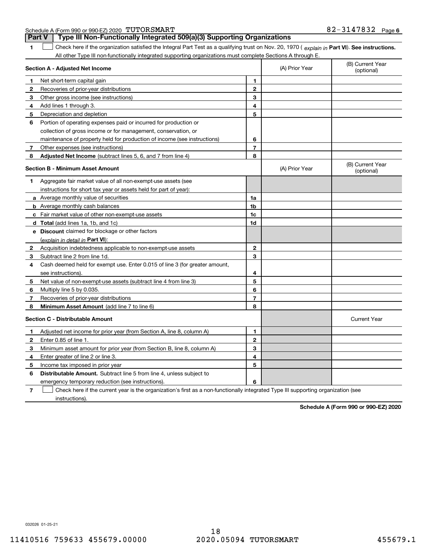|                | Part v<br>rype in Non-Functionally integrated 509(a)(5) Supporting Organizations                                                               |                |                |                                |  |
|----------------|------------------------------------------------------------------------------------------------------------------------------------------------|----------------|----------------|--------------------------------|--|
| 1              | Check here if the organization satisfied the Integral Part Test as a qualifying trust on Nov. 20, 1970 (explain in Part VI). See instructions. |                |                |                                |  |
|                | All other Type III non-functionally integrated supporting organizations must complete Sections A through E.                                    |                |                |                                |  |
|                | Section A - Adjusted Net Income                                                                                                                |                | (A) Prior Year | (B) Current Year<br>(optional) |  |
| 1              | Net short-term capital gain                                                                                                                    | 1              |                |                                |  |
| 2              | Recoveries of prior-year distributions                                                                                                         | $\mathbf{2}$   |                |                                |  |
| 3              | Other gross income (see instructions)                                                                                                          | 3              |                |                                |  |
| 4              | Add lines 1 through 3.                                                                                                                         | 4              |                |                                |  |
| 5              | Depreciation and depletion                                                                                                                     | 5              |                |                                |  |
| 6              | Portion of operating expenses paid or incurred for production or                                                                               |                |                |                                |  |
|                | collection of gross income or for management, conservation, or                                                                                 |                |                |                                |  |
|                | maintenance of property held for production of income (see instructions)                                                                       | 6              |                |                                |  |
| $\overline{7}$ | Other expenses (see instructions)                                                                                                              | $\overline{7}$ |                |                                |  |
| 8              | Adjusted Net Income (subtract lines 5, 6, and 7 from line 4)                                                                                   | 8              |                |                                |  |
|                | Section B - Minimum Asset Amount                                                                                                               |                | (A) Prior Year | (B) Current Year<br>(optional) |  |
| 1              | Aggregate fair market value of all non-exempt-use assets (see                                                                                  |                |                |                                |  |
|                | instructions for short tax year or assets held for part of year):                                                                              |                |                |                                |  |
|                | <b>a</b> Average monthly value of securities                                                                                                   | 1a             |                |                                |  |
|                | <b>b</b> Average monthly cash balances                                                                                                         | 1 <sub>b</sub> |                |                                |  |
|                | c Fair market value of other non-exempt-use assets                                                                                             | 1c             |                |                                |  |
|                | <b>d</b> Total (add lines 1a, 1b, and 1c)                                                                                                      | 1d             |                |                                |  |
|                | e Discount claimed for blockage or other factors                                                                                               |                |                |                                |  |
|                | (explain in detail in Part VI):                                                                                                                |                |                |                                |  |
|                | <b>2</b> Acquisition indebtedness applicable to non-exempt-use assets                                                                          | $\mathbf{2}$   |                |                                |  |
| 3              | Subtract line 2 from line 1d.                                                                                                                  | 3              |                |                                |  |
| 4              | Cash deemed held for exempt use. Enter 0.015 of line 3 (for greater amount,                                                                    |                |                |                                |  |
|                | see instructions).                                                                                                                             | 4              |                |                                |  |
| 5              | Net value of non-exempt-use assets (subtract line 4 from line 3)                                                                               | 5              |                |                                |  |
| 6              | Multiply line 5 by 0.035.                                                                                                                      | 6              |                |                                |  |
| 7              | Recoveries of prior-year distributions                                                                                                         | $\overline{7}$ |                |                                |  |
| 8              | Minimum Asset Amount (add line 7 to line 6)                                                                                                    | 8              |                |                                |  |
|                | <b>Section C - Distributable Amount</b>                                                                                                        |                |                | <b>Current Year</b>            |  |
| 1              | Adjusted net income for prior year (from Section A, line 8, column A)                                                                          | 1              |                |                                |  |
| 2              | Enter 0.85 of line 1.                                                                                                                          | $\mathbf{2}$   |                |                                |  |
| 3              | Minimum asset amount for prior year (from Section B, line 8, column A)                                                                         | 3              |                |                                |  |
| 4              | Enter greater of line 2 or line 3.                                                                                                             | 4              |                |                                |  |
| 5              | Income tax imposed in prior year                                                                                                               | 5              |                |                                |  |
| 6              | <b>Distributable Amount.</b> Subtract line 5 from line 4, unless subject to                                                                    |                |                |                                |  |
|                | emergency temporary reduction (see instructions).                                                                                              | 6              |                |                                |  |
|                |                                                                                                                                                |                |                |                                |  |

**7** Check here if the current year is the organization's first as a non-functionally integrated Type III supporting organization (see instructions).

**Schedule A (Form 990 or 990-EZ) 2020**

032026 01-25-21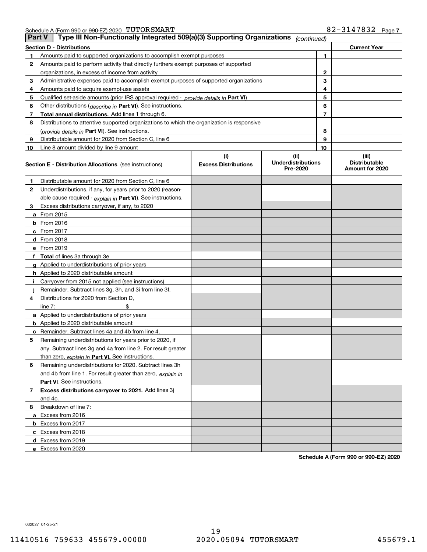|  | Schedule A (Form 990 or 990-EZ) 2020 $\ ^{\circ}$ $\text{TUTORSMART}$ |  | 82-3147832 | Page |
|--|-----------------------------------------------------------------------|--|------------|------|
|--|-----------------------------------------------------------------------|--|------------|------|

|    | Type III Non-Functionally Integrated 509(a)(3) Supporting Organizations<br><b>Part V</b><br>(continued) |                                    |                                               |    |                                                  |  |  |
|----|---------------------------------------------------------------------------------------------------------|------------------------------------|-----------------------------------------------|----|--------------------------------------------------|--|--|
|    | <b>Section D - Distributions</b><br><b>Current Year</b>                                                 |                                    |                                               |    |                                                  |  |  |
| 1  | Amounts paid to supported organizations to accomplish exempt purposes                                   |                                    | 1                                             |    |                                                  |  |  |
| 2  | Amounts paid to perform activity that directly furthers exempt purposes of supported                    |                                    |                                               |    |                                                  |  |  |
|    | organizations, in excess of income from activity                                                        |                                    |                                               | 2  |                                                  |  |  |
| 3  | Administrative expenses paid to accomplish exempt purposes of supported organizations                   |                                    |                                               | 3  |                                                  |  |  |
| 4  | Amounts paid to acquire exempt-use assets                                                               |                                    |                                               | 4  |                                                  |  |  |
| 5  | Qualified set-aside amounts (prior IRS approval required - provide details in Part VI)                  |                                    |                                               | 5  |                                                  |  |  |
| 6  | Other distributions ( <i>describe in</i> Part VI). See instructions.                                    |                                    |                                               | 6  |                                                  |  |  |
| 7  | Total annual distributions. Add lines 1 through 6.                                                      |                                    |                                               | 7  |                                                  |  |  |
| 8  | Distributions to attentive supported organizations to which the organization is responsive              |                                    |                                               |    |                                                  |  |  |
|    | (provide details in Part VI). See instructions.                                                         |                                    |                                               | 8  |                                                  |  |  |
| 9  | Distributable amount for 2020 from Section C, line 6                                                    |                                    |                                               | 9  |                                                  |  |  |
| 10 | Line 8 amount divided by line 9 amount                                                                  |                                    |                                               | 10 |                                                  |  |  |
|    | <b>Section E - Distribution Allocations</b> (see instructions)                                          | (i)<br><b>Excess Distributions</b> | (ii)<br><b>Underdistributions</b><br>Pre-2020 |    | (iii)<br><b>Distributable</b><br>Amount for 2020 |  |  |
| 1  | Distributable amount for 2020 from Section C, line 6                                                    |                                    |                                               |    |                                                  |  |  |
| 2  | Underdistributions, if any, for years prior to 2020 (reason-                                            |                                    |                                               |    |                                                  |  |  |
|    | able cause required - explain in Part VI). See instructions.                                            |                                    |                                               |    |                                                  |  |  |
| 3  | Excess distributions carryover, if any, to 2020                                                         |                                    |                                               |    |                                                  |  |  |
|    | a From 2015                                                                                             |                                    |                                               |    |                                                  |  |  |
|    | <b>b</b> From 2016                                                                                      |                                    |                                               |    |                                                  |  |  |
|    | $c$ From 2017                                                                                           |                                    |                                               |    |                                                  |  |  |
|    | d From 2018                                                                                             |                                    |                                               |    |                                                  |  |  |
|    | e From 2019                                                                                             |                                    |                                               |    |                                                  |  |  |
|    | f Total of lines 3a through 3e                                                                          |                                    |                                               |    |                                                  |  |  |
|    | g Applied to underdistributions of prior years                                                          |                                    |                                               |    |                                                  |  |  |
|    | <b>h</b> Applied to 2020 distributable amount                                                           |                                    |                                               |    |                                                  |  |  |
|    | Carryover from 2015 not applied (see instructions)                                                      |                                    |                                               |    |                                                  |  |  |
|    | Remainder. Subtract lines 3g, 3h, and 3i from line 3f.                                                  |                                    |                                               |    |                                                  |  |  |
| 4  | Distributions for 2020 from Section D,                                                                  |                                    |                                               |    |                                                  |  |  |
|    | line $7:$                                                                                               |                                    |                                               |    |                                                  |  |  |
|    | a Applied to underdistributions of prior years                                                          |                                    |                                               |    |                                                  |  |  |
|    | <b>b</b> Applied to 2020 distributable amount                                                           |                                    |                                               |    |                                                  |  |  |
|    | c Remainder. Subtract lines 4a and 4b from line 4.                                                      |                                    |                                               |    |                                                  |  |  |
| 5. | Remaining underdistributions for years prior to 2020, if                                                |                                    |                                               |    |                                                  |  |  |
|    | any. Subtract lines 3g and 4a from line 2. For result greater                                           |                                    |                                               |    |                                                  |  |  |
|    | than zero, explain in Part VI. See instructions.                                                        |                                    |                                               |    |                                                  |  |  |
| 6  | Remaining underdistributions for 2020. Subtract lines 3h                                                |                                    |                                               |    |                                                  |  |  |
|    | and 4b from line 1. For result greater than zero, explain in                                            |                                    |                                               |    |                                                  |  |  |
|    | Part VI. See instructions.                                                                              |                                    |                                               |    |                                                  |  |  |
| 7  | Excess distributions carryover to 2021. Add lines 3j                                                    |                                    |                                               |    |                                                  |  |  |
|    | and 4c.                                                                                                 |                                    |                                               |    |                                                  |  |  |
| 8  | Breakdown of line 7:                                                                                    |                                    |                                               |    |                                                  |  |  |
|    | a Excess from 2016                                                                                      |                                    |                                               |    |                                                  |  |  |
|    | <b>b</b> Excess from 2017                                                                               |                                    |                                               |    |                                                  |  |  |
|    | c Excess from 2018                                                                                      |                                    |                                               |    |                                                  |  |  |
|    | d Excess from 2019                                                                                      |                                    |                                               |    |                                                  |  |  |
|    | e Excess from 2020                                                                                      |                                    |                                               |    |                                                  |  |  |

**Schedule A (Form 990 or 990-EZ) 2020**

032027 01-25-21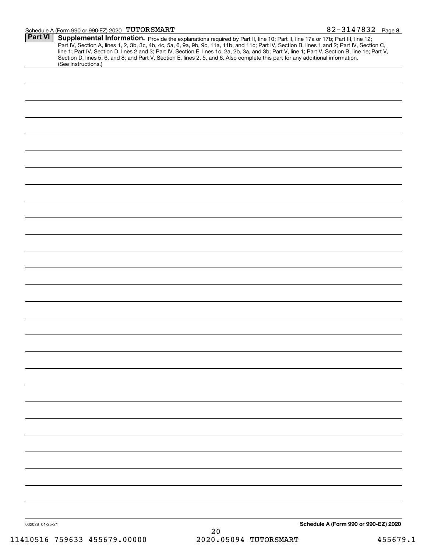#### Schedule A (Form 990 or 990-EZ) 2020 「I'U'I'ORSMARTI' 8 Z - 3 I 4 7 8 3 Z Page

| Part VI         | Supplemental Information. Provide the explanations required by Part II, line 10; Part II, line 17a or 17b; Part III, line 12;<br>Part IV, Section A, lines 1, 2, 3b, 3c, 4b, 4c, 5a, 6, 9a, 9b, 9c, 11a, 11b, and 11c; Part IV, Section B, lines 1 and 2; Part IV, Section C,<br>line 1; Part IV, Section D, lines 2 and 3; Part IV, Section E, lines 1c, 2a, 2b, 3a, and 3b; Part V, line 1; Part V, Section B, line 1e; Part V,<br>Section D, lines 5, 6, and 8; and Part V, Section E, lines 2, 5, and 6. Also complete this part for any additional information.<br>(See instructions.) |                                      |
|-----------------|---------------------------------------------------------------------------------------------------------------------------------------------------------------------------------------------------------------------------------------------------------------------------------------------------------------------------------------------------------------------------------------------------------------------------------------------------------------------------------------------------------------------------------------------------------------------------------------------|--------------------------------------|
|                 |                                                                                                                                                                                                                                                                                                                                                                                                                                                                                                                                                                                             |                                      |
|                 |                                                                                                                                                                                                                                                                                                                                                                                                                                                                                                                                                                                             |                                      |
|                 |                                                                                                                                                                                                                                                                                                                                                                                                                                                                                                                                                                                             |                                      |
|                 |                                                                                                                                                                                                                                                                                                                                                                                                                                                                                                                                                                                             |                                      |
|                 |                                                                                                                                                                                                                                                                                                                                                                                                                                                                                                                                                                                             |                                      |
|                 |                                                                                                                                                                                                                                                                                                                                                                                                                                                                                                                                                                                             |                                      |
|                 |                                                                                                                                                                                                                                                                                                                                                                                                                                                                                                                                                                                             |                                      |
|                 |                                                                                                                                                                                                                                                                                                                                                                                                                                                                                                                                                                                             |                                      |
|                 |                                                                                                                                                                                                                                                                                                                                                                                                                                                                                                                                                                                             |                                      |
|                 |                                                                                                                                                                                                                                                                                                                                                                                                                                                                                                                                                                                             |                                      |
|                 |                                                                                                                                                                                                                                                                                                                                                                                                                                                                                                                                                                                             |                                      |
|                 |                                                                                                                                                                                                                                                                                                                                                                                                                                                                                                                                                                                             |                                      |
|                 |                                                                                                                                                                                                                                                                                                                                                                                                                                                                                                                                                                                             |                                      |
|                 |                                                                                                                                                                                                                                                                                                                                                                                                                                                                                                                                                                                             |                                      |
|                 |                                                                                                                                                                                                                                                                                                                                                                                                                                                                                                                                                                                             |                                      |
|                 |                                                                                                                                                                                                                                                                                                                                                                                                                                                                                                                                                                                             |                                      |
|                 |                                                                                                                                                                                                                                                                                                                                                                                                                                                                                                                                                                                             |                                      |
|                 |                                                                                                                                                                                                                                                                                                                                                                                                                                                                                                                                                                                             |                                      |
|                 |                                                                                                                                                                                                                                                                                                                                                                                                                                                                                                                                                                                             |                                      |
|                 |                                                                                                                                                                                                                                                                                                                                                                                                                                                                                                                                                                                             |                                      |
|                 |                                                                                                                                                                                                                                                                                                                                                                                                                                                                                                                                                                                             |                                      |
|                 |                                                                                                                                                                                                                                                                                                                                                                                                                                                                                                                                                                                             |                                      |
|                 |                                                                                                                                                                                                                                                                                                                                                                                                                                                                                                                                                                                             |                                      |
|                 |                                                                                                                                                                                                                                                                                                                                                                                                                                                                                                                                                                                             |                                      |
|                 |                                                                                                                                                                                                                                                                                                                                                                                                                                                                                                                                                                                             |                                      |
|                 |                                                                                                                                                                                                                                                                                                                                                                                                                                                                                                                                                                                             |                                      |
|                 |                                                                                                                                                                                                                                                                                                                                                                                                                                                                                                                                                                                             |                                      |
|                 |                                                                                                                                                                                                                                                                                                                                                                                                                                                                                                                                                                                             |                                      |
|                 |                                                                                                                                                                                                                                                                                                                                                                                                                                                                                                                                                                                             |                                      |
|                 |                                                                                                                                                                                                                                                                                                                                                                                                                                                                                                                                                                                             |                                      |
|                 |                                                                                                                                                                                                                                                                                                                                                                                                                                                                                                                                                                                             |                                      |
|                 |                                                                                                                                                                                                                                                                                                                                                                                                                                                                                                                                                                                             |                                      |
|                 |                                                                                                                                                                                                                                                                                                                                                                                                                                                                                                                                                                                             |                                      |
|                 |                                                                                                                                                                                                                                                                                                                                                                                                                                                                                                                                                                                             |                                      |
|                 |                                                                                                                                                                                                                                                                                                                                                                                                                                                                                                                                                                                             |                                      |
|                 |                                                                                                                                                                                                                                                                                                                                                                                                                                                                                                                                                                                             |                                      |
| 032028 01-25-21 | 20                                                                                                                                                                                                                                                                                                                                                                                                                                                                                                                                                                                          | Schedule A (Form 990 or 990-EZ) 2020 |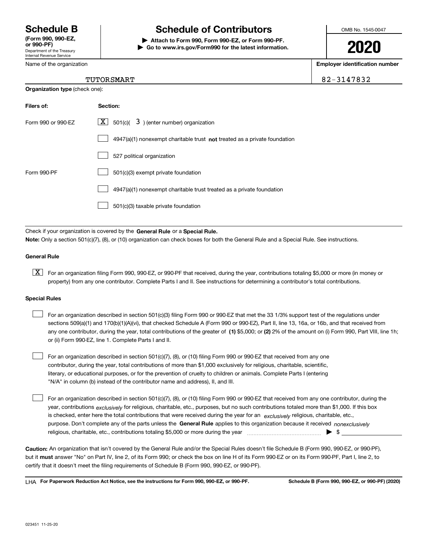Department of the Treasury Internal Revenue Service **(Form 990, 990-EZ, or 990-PF)**

Name of the organization

# **Schedule B Schedule of Contributors**

**| Attach to Form 990, Form 990-EZ, or Form 990-PF. | Go to www.irs.gov/Form990 for the latest information.** OMB No. 1545-0047

**2020**

**Employer identification number**

### TUTORSMART 82-3147832

| <b>Organization type (check one):</b> |                                                                             |  |  |  |
|---------------------------------------|-----------------------------------------------------------------------------|--|--|--|
| Filers of:                            | Section:                                                                    |  |  |  |
| Form 990 or 990-EZ                    | $\underline{X}$ 501(c)( 3) (enter number) organization                      |  |  |  |
|                                       | $4947(a)(1)$ nonexempt charitable trust not treated as a private foundation |  |  |  |
|                                       | 527 political organization                                                  |  |  |  |
| Form 990-PF                           | 501(c)(3) exempt private foundation                                         |  |  |  |
|                                       | 4947(a)(1) nonexempt charitable trust treated as a private foundation       |  |  |  |
|                                       | 501(c)(3) taxable private foundation                                        |  |  |  |

Check if your organization is covered by the **General Rule** or a **Special Rule. Note:**  Only a section 501(c)(7), (8), or (10) organization can check boxes for both the General Rule and a Special Rule. See instructions.

### **General Rule**

 $\boxed{\textbf{X}}$  For an organization filing Form 990, 990-EZ, or 990-PF that received, during the year, contributions totaling \$5,000 or more (in money or property) from any one contributor. Complete Parts I and II. See instructions for determining a contributor's total contributions.

#### **Special Rules**

 $\mathcal{L}^{\text{max}}$ 

| For an organization described in section 501(c)(3) filing Form 990 or 990-EZ that met the 33 1/3% support test of the regulations under               |
|-------------------------------------------------------------------------------------------------------------------------------------------------------|
| sections 509(a)(1) and 170(b)(1)(A)(vi), that checked Schedule A (Form 990 or 990-EZ), Part II, line 13, 16a, or 16b, and that received from          |
| any one contributor, during the year, total contributions of the greater of (1) \$5,000; or (2) 2% of the amount on (i) Form 990, Part VIII, line 1h; |
| or (ii) Form 990-EZ, line 1. Complete Parts I and II.                                                                                                 |

For an organization described in section 501(c)(7), (8), or (10) filing Form 990 or 990-EZ that received from any one contributor, during the year, total contributions of more than \$1,000 exclusively for religious, charitable, scientific, literary, or educational purposes, or for the prevention of cruelty to children or animals. Complete Parts I (entering "N/A" in column (b) instead of the contributor name and address), II, and III.  $\mathcal{L}^{\text{max}}$ 

purpose. Don't complete any of the parts unless the **General Rule** applies to this organization because it received *nonexclusively* year, contributions <sub>exclusively</sub> for religious, charitable, etc., purposes, but no such contributions totaled more than \$1,000. If this box is checked, enter here the total contributions that were received during the year for an  $\;$ exclusively religious, charitable, etc., For an organization described in section 501(c)(7), (8), or (10) filing Form 990 or 990-EZ that received from any one contributor, during the religious, charitable, etc., contributions totaling \$5,000 or more during the year  $\Box$ — $\Box$   $\Box$ 

**Caution:**  An organization that isn't covered by the General Rule and/or the Special Rules doesn't file Schedule B (Form 990, 990-EZ, or 990-PF),  **must** but it answer "No" on Part IV, line 2, of its Form 990; or check the box on line H of its Form 990-EZ or on its Form 990-PF, Part I, line 2, to certify that it doesn't meet the filing requirements of Schedule B (Form 990, 990-EZ, or 990-PF).

**For Paperwork Reduction Act Notice, see the instructions for Form 990, 990-EZ, or 990-PF. Schedule B (Form 990, 990-EZ, or 990-PF) (2020)** LHA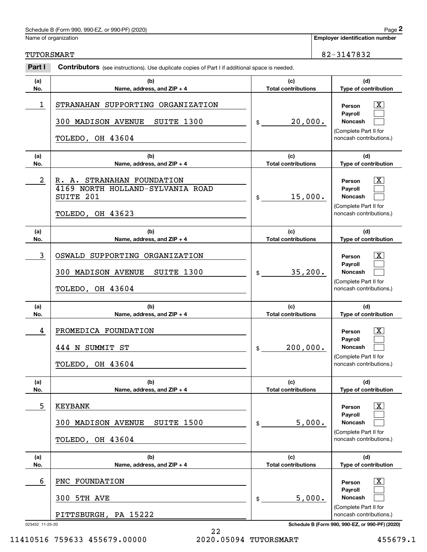|                         | Schedule B (Form 990, 990-EZ, or 990-PF) (2020)                                                    |                                   |  | Page 2                                                                                                  |
|-------------------------|----------------------------------------------------------------------------------------------------|-----------------------------------|--|---------------------------------------------------------------------------------------------------------|
| Name of organization    | <b>Employer identification number</b>                                                              |                                   |  |                                                                                                         |
| <b>TUTORSMART</b>       |                                                                                                    | 82-3147832                        |  |                                                                                                         |
| Part I                  |                                                                                                    |                                   |  |                                                                                                         |
| (a)<br>No.              | (b)<br>Name, address, and ZIP + 4                                                                  | (c)<br><b>Total contributions</b> |  | (d)<br>Type of contribution                                                                             |
| 1                       | STRANAHAN SUPPORTING ORGANIZATION<br>300 MADISON AVENUE<br>SUITE 1300<br>TOLEDO, OH 43604          | 20,000.<br>\$                     |  | $\mathbf{X}$<br>Person<br>Payroll<br>Noncash<br>(Complete Part II for<br>noncash contributions.)        |
| (a)<br>No.              | (b)<br>Name, address, and ZIP + 4                                                                  | (c)<br><b>Total contributions</b> |  | (d)<br>Type of contribution                                                                             |
| $\overline{\mathbf{c}}$ | STRANAHAN FOUNDATION<br>R. A.<br>4169 NORTH HOLLAND-SYLVANIA ROAD<br>SUITE 201<br>TOLEDO, OH 43623 | 15,000.<br>\$                     |  | $\mathbf{X}$<br>Person<br>Payroll<br>Noncash<br>(Complete Part II for<br>noncash contributions.)        |
| (a)<br>No.              | (b)<br>Name, address, and ZIP + 4                                                                  | (c)<br><b>Total contributions</b> |  | (d)<br>Type of contribution                                                                             |
| 3                       | SUPPORTING ORGANIZATION<br>OSWALD<br>300 MADISON AVENUE<br>SUITE 1300<br>TOLEDO, OH 43604          | 35,200.<br>\$                     |  | $\mathbf{X}$<br>Person<br>Payroll<br>Noncash<br>(Complete Part II for<br>noncash contributions.)        |
| (a)<br>No.              | (b)<br>Name, address, and ZIP + 4                                                                  | (c)<br><b>Total contributions</b> |  | (d)<br>Type of contribution                                                                             |
| 4                       | PROMEDICA FOUNDATION<br>444 N SUMMIT ST<br>TOLEDO, OH 43604                                        | 200,000.<br>\$                    |  | $\mathbf{X}$<br>Person<br><b>Payroll</b><br>Noncash<br>(Complete Part II for<br>noncash contributions.) |
| (a)<br>No.              | (b)<br>Name, address, and ZIP + 4                                                                  | (c)<br><b>Total contributions</b> |  | (d)<br>Type of contribution                                                                             |
| 5                       | <b>KEYBANK</b><br>SUITE 1500<br>300 MADISON AVENUE<br>TOLEDO, OH 43604                             | 5,000.<br>\$                      |  | $\boxed{\text{X}}$<br>Person<br>Payroll<br>Noncash<br>(Complete Part II for<br>noncash contributions.)  |
| (a)<br>No.              | (b)<br>Name, address, and ZIP + 4                                                                  | (c)<br><b>Total contributions</b> |  | (d)<br>Type of contribution                                                                             |
| 6                       | PNC FOUNDATION<br>300 5TH AVE                                                                      | 5,000.<br>\$                      |  | $\boxed{\text{X}}$<br>Person<br>Payroll<br>Noncash                                                      |

023452 11-25-20 **Schedule B (Form 990, 990-EZ, or 990-PF) (2020)**

(Complete Part II for noncash contributions.)

PITTSBURGH, PA 15222

22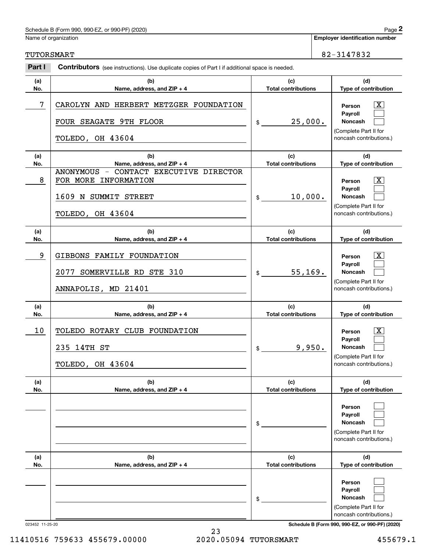#### Schedule B (Form 990, 990-EZ, or 990-PF) (2020) Page

|                 | Schedule B (Form 990, 990-EZ, or 990-PF) (2020)                                                            |                                   |  | Page 2                                                                                                                              |
|-----------------|------------------------------------------------------------------------------------------------------------|-----------------------------------|--|-------------------------------------------------------------------------------------------------------------------------------------|
|                 | Name of organization                                                                                       |                                   |  | <b>Employer identification number</b>                                                                                               |
| TUTORSMART      |                                                                                                            |                                   |  | 82-3147832                                                                                                                          |
| Part I          | <b>Contributors</b> (see instructions). Use duplicate copies of Part I if additional space is needed.      |                                   |  |                                                                                                                                     |
| (a)<br>No.      | (b)<br>Name, address, and ZIP + 4                                                                          | (c)<br><b>Total contributions</b> |  | (d)<br>Type of contribution                                                                                                         |
| 7               | CAROLYN AND HERBERT METZGER FOUNDATION<br>FOUR SEAGATE 9TH FLOOR<br>TOLEDO, OH 43604                       | 25,000.<br>\$                     |  | $\mathbf{X}$<br>Person<br>Payroll<br>Noncash<br>(Complete Part II for<br>noncash contributions.)                                    |
| (a)<br>No.      | (b)<br>Name, address, and ZIP + 4                                                                          | (c)<br><b>Total contributions</b> |  | (d)<br>Type of contribution                                                                                                         |
| 8               | ANONYMOUS - CONTACT EXECUTIVE DIRECTOR<br>FOR MORE INFORMATION<br>1609 N SUMMIT STREET<br>TOLEDO, OH 43604 | 10,000.<br>\$                     |  | $\mathbf{X}$<br>Person<br>Payroll<br>Noncash<br>(Complete Part II for<br>noncash contributions.)                                    |
| (a)<br>No.      | (b)<br>Name, address, and ZIP + 4                                                                          | (c)<br><b>Total contributions</b> |  | (d)<br>Type of contribution                                                                                                         |
| 9               | GIBBONS FAMILY FOUNDATION<br>SOMERVILLE RD STE 310<br>2077<br>ANNAPOLIS, MD 21401                          | 55, 169.<br>\$                    |  | $\mathbf{X}$<br>Person<br>Payroll<br>Noncash<br>(Complete Part II for<br>noncash contributions.)                                    |
| (a)<br>No.      | (b)<br>Name, address, and ZIP + 4                                                                          | (c)<br><b>Total contributions</b> |  | (d)<br>Type of contribution                                                                                                         |
| 10              | TOLEDO ROTARY CLUB FOUNDATION<br>235 14TH ST<br>TOLEDO, OH 43604                                           | 9,950.<br>\$                      |  | $\mathbf{X}$<br>Person<br>Payroll<br>Noncash<br>(Complete Part II for<br>noncash contributions.)                                    |
| (a)<br>No.      | (b)<br>Name, address, and ZIP + 4                                                                          | (c)<br><b>Total contributions</b> |  | (d)<br>Type of contribution                                                                                                         |
|                 |                                                                                                            | \$                                |  | Person<br>Payroll<br>Noncash<br>(Complete Part II for<br>noncash contributions.)                                                    |
| (a)<br>No.      | (b)<br>Name, address, and ZIP + 4                                                                          | (c)<br><b>Total contributions</b> |  | (d)<br>Type of contribution                                                                                                         |
| 023452 11-25-20 |                                                                                                            | \$                                |  | Person<br>Payroll<br>Noncash<br>(Complete Part II for<br>noncash contributions.)<br>Schedule B (Form 990, 990-EZ, or 990-PF) (2020) |

23 11410516 759633 455679.00000 2020.05094 TUTORSMART 455679.1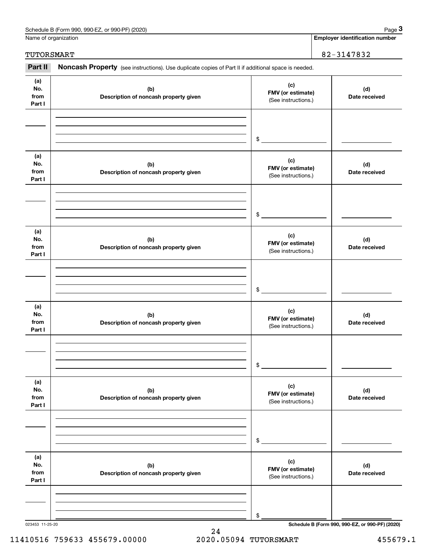| Schedule B (Form 990, 990-EZ,<br>or 990-PF) (2020) | Page |
|----------------------------------------------------|------|
|----------------------------------------------------|------|

Name of organization

**Employer identification number**

TUTORSMART 82-3147832

#### **(a)No.fromPart I (c) FMV (or estimate) (b) Description of noncash property given (d) Date received (a)No.fromPart I (c) FMV (or estimate) (b) Description of noncash property given (d) Date received (a)No.fromPart I (c) FMV (or estimate) (b) Description of noncash property given (d) Date received (a) No.fromPart I (c) FMV (or estimate) (b)Description of noncash property given (d)Date received (a) No.fromPart I (c) FMV (or estimate) (b) Description of noncash property given (d) Date received (a) No.fromPart I (c) FMV (or estimate) (b)Description of noncash property given (d)Date received** Noncash Property (see instructions). Use duplicate copies of Part II if additional space is needed. (See instructions.) \$(See instructions.) \$(See instructions.) \$(See instructions.) \$(See instructions.) \$(See instructions.) \$**2Page 3 Employer identification number**<br> **3Part II Noncash Property** (see instructions). Use duplicate copies of Part II if additional space is needed.<br> **Part II Noncash Property** (see instructions). Use duplicate cop

023453 11-25-20 **Schedule B (Form 990, 990-EZ, or 990-PF) (2020)**

11410516 759633 455679.00000 2020.05094 TUTORSMART 455679.1

24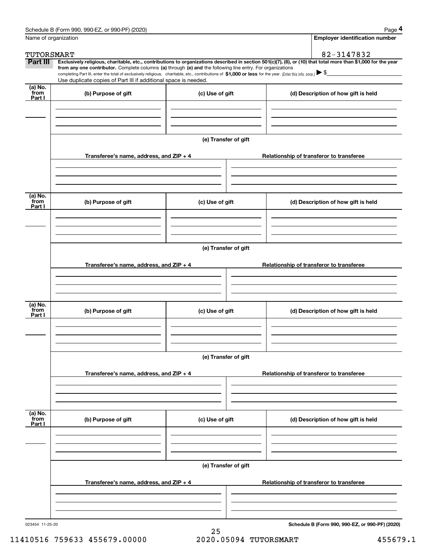|                           | Schedule B (Form 990, 990-EZ, or 990-PF) (2020)                                                                                                                                                                                                                              |                      |                                          |                                     | Page 4                                          |  |  |
|---------------------------|------------------------------------------------------------------------------------------------------------------------------------------------------------------------------------------------------------------------------------------------------------------------------|----------------------|------------------------------------------|-------------------------------------|-------------------------------------------------|--|--|
|                           | Name of organization                                                                                                                                                                                                                                                         |                      |                                          |                                     | <b>Employer identification number</b>           |  |  |
| TUTORSMART                |                                                                                                                                                                                                                                                                              |                      |                                          |                                     | 82-3147832                                      |  |  |
| Part III                  | Exclusively religious, charitable, etc., contributions to organizations described in section 501(c)(7), (8), or (10) that total more than \$1,000 for the year<br>from any one contributor. Complete columns (a) through (e) and the following line entry. For organizations |                      |                                          |                                     |                                                 |  |  |
|                           | completing Part III, enter the total of exclusively religious, charitable, etc., contributions of \$1,000 or less for the year. (Enter this info. once.) \\$                                                                                                                 |                      |                                          |                                     |                                                 |  |  |
|                           | Use duplicate copies of Part III if additional space is needed.                                                                                                                                                                                                              |                      |                                          |                                     |                                                 |  |  |
| (a) No.<br>from<br>Part I | (b) Purpose of gift                                                                                                                                                                                                                                                          | (c) Use of gift      |                                          | (d) Description of how gift is held |                                                 |  |  |
|                           |                                                                                                                                                                                                                                                                              |                      |                                          |                                     |                                                 |  |  |
|                           |                                                                                                                                                                                                                                                                              | (e) Transfer of gift |                                          |                                     |                                                 |  |  |
|                           | Transferee's name, address, and ZIP + 4                                                                                                                                                                                                                                      |                      | Relationship of transferor to transferee |                                     |                                                 |  |  |
|                           |                                                                                                                                                                                                                                                                              |                      |                                          |                                     |                                                 |  |  |
| (a) No.                   |                                                                                                                                                                                                                                                                              |                      |                                          |                                     |                                                 |  |  |
| from<br>Part I            | (b) Purpose of gift                                                                                                                                                                                                                                                          | (c) Use of gift      |                                          |                                     | (d) Description of how gift is held             |  |  |
|                           |                                                                                                                                                                                                                                                                              |                      |                                          |                                     |                                                 |  |  |
|                           |                                                                                                                                                                                                                                                                              | (e) Transfer of gift |                                          |                                     |                                                 |  |  |
|                           | Transferee's name, address, and ZIP + 4                                                                                                                                                                                                                                      |                      |                                          |                                     | Relationship of transferor to transferee        |  |  |
|                           |                                                                                                                                                                                                                                                                              |                      |                                          |                                     |                                                 |  |  |
| (a) No.                   |                                                                                                                                                                                                                                                                              |                      |                                          |                                     |                                                 |  |  |
| from<br>Part I            | (b) Purpose of gift                                                                                                                                                                                                                                                          | (c) Use of gift      |                                          |                                     | (d) Description of how gift is held             |  |  |
|                           |                                                                                                                                                                                                                                                                              |                      |                                          |                                     |                                                 |  |  |
|                           | (e) Transfer of gift                                                                                                                                                                                                                                                         |                      |                                          |                                     |                                                 |  |  |
|                           | Transferee's name, address, and ZIP + 4                                                                                                                                                                                                                                      |                      | Relationship of transferor to transferee |                                     |                                                 |  |  |
|                           |                                                                                                                                                                                                                                                                              |                      |                                          |                                     |                                                 |  |  |
|                           |                                                                                                                                                                                                                                                                              |                      |                                          |                                     |                                                 |  |  |
| (a) No.<br>from<br>Part I | (b) Purpose of gift                                                                                                                                                                                                                                                          | (c) Use of gift      |                                          |                                     | (d) Description of how gift is held             |  |  |
|                           |                                                                                                                                                                                                                                                                              |                      |                                          |                                     |                                                 |  |  |
|                           | (e) Transfer of gift                                                                                                                                                                                                                                                         |                      |                                          |                                     |                                                 |  |  |
|                           | Transferee's name, address, and ZIP + 4                                                                                                                                                                                                                                      |                      |                                          |                                     | Relationship of transferor to transferee        |  |  |
|                           |                                                                                                                                                                                                                                                                              |                      |                                          |                                     |                                                 |  |  |
|                           |                                                                                                                                                                                                                                                                              |                      |                                          |                                     |                                                 |  |  |
| 023454 11-25-20           |                                                                                                                                                                                                                                                                              |                      |                                          |                                     | Schedule B (Form 990, 990-EZ, or 990-PF) (2020) |  |  |

25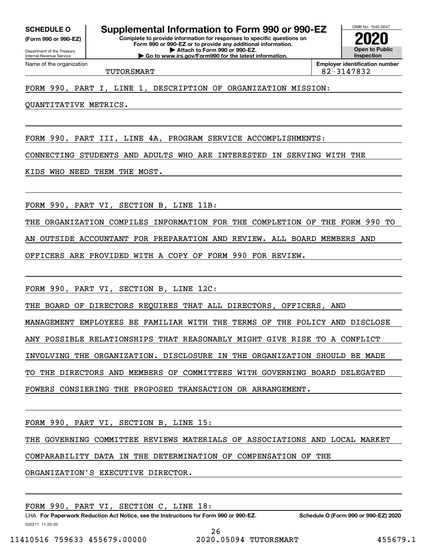**(Form 990 or 990-EZ)**

Department of the Treasury Internal Revenue Service Name of the organization

**Complete to provide information for responses to specific questions on SCHEDULE O Supplemental Information to Form 990 or 990-EZ**

**Form 990 or 990-EZ or to provide any additional information. | Attach to Form 990 or 990-EZ. | Go to www.irs.gov/Form990 for the latest information.**



TUTORSMART 82-3147832

FORM 990, PART I, LINE 1, DESCRIPTION OF ORGANIZATION MISSION:

QUANTITATIVE METRICS.

FORM 990, PART III, LINE 4A, PROGRAM SERVICE ACCOMPLISHMENTS:

CONNECTING STUDENTS AND ADULTS WHO ARE INTERESTED IN SERVING WITH THE

KIDS WHO NEED THEM THE MOST.

FORM 990, PART VI, SECTION B, LINE 11B:

THE ORGANIZATION COMPILES INFORMATION FOR THE COMPLETION OF THE FORM 990 TO

AN OUTSIDE ACCOUNTANT FOR PREPARATION AND REVIEW. ALL BOARD MEMBERS AND

OFFICERS ARE PROVIDED WITH A COPY OF FORM 990 FOR REVIEW.

FORM 990, PART VI, SECTION B, LINE 12C:

THE BOARD OF DIRECTORS REQUIRES THAT ALL DIRECTORS, OFFICERS, AND

MANAGEMENT EMPLOYEES BE FAMILIAR WITH THE TERMS OF THE POLICY AND DISCLOSE

ANY POSSIBLE RELATIONSHIPS THAT REASONABLY MIGHT GIVE RISE TO A CONFLICT

INVOLVING THE ORGANIZATION. DISCLOSURE IN THE ORGANIZATION SHOULD BE MADE

TO THE DIRECTORS AND MEMBERS OF COMMITTEES WITH GOVERNING BOARD DELEGATED

POWERS CONSIERING THE PROPOSED TRANSACTION OR ARRANGEMENT.

FORM 990, PART VI, SECTION B, LINE 15:

THE GOVERNING COMMITTEE REVIEWS MATERIALS OF ASSOCIATIONS AND LOCAL MARKET

COMPARABILITY DATA IN THE DETERMINATION OF COMPENSATION OF THE

ORGANIZATION'S EXECUTIVE DIRECTOR.

FORM 990, PART VI, SECTION C, LINE 18:

032211 11-20-20 LHA For Paperwork Reduction Act Notice, see the Instructions for Form 990 or 990-EZ. Schedule O (Form 990 or 990-EZ) 2020